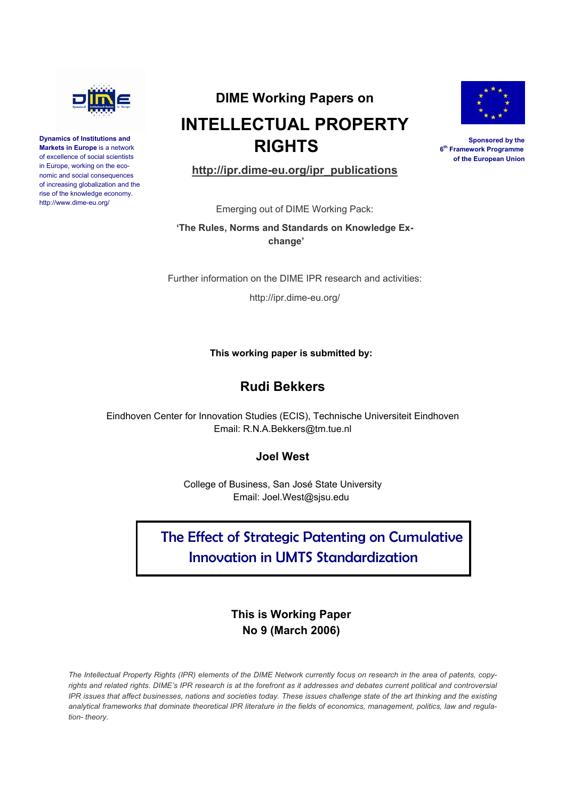

**Dynamics of Institutions and Markets in Europe** is a network of excellence of social scientists in Europe, working on the economic and social consequences of increasing globalization and the rise of the knowledge economy. http://www.dime-eu.org/

# **DIME Working Papers on INTELLECTUAL PROPERTY RIGHTS**



**Sponsored by the 6th Framework Programme of the European Union**

**http://ipr.dime-eu.org/ipr\_publications**

Emerging out of DIME Working Pack:

**'The Rules, Norms and Standards on Knowledge Exchange'** 

Further information on the DIME IPR research and activities:

http://ipr.dime-eu.org/

## **This working paper is submitted by:**

## **Rudi Bekkers**

Eindhoven Center for Innovation Studies (ECIS), Technische Universiteit Eindhoven Email: R.N.A.Bekkers@tm.tue.nl

## **Joel West**

College of Business, San José State University Email: Joel.West@sjsu.edu

## The Effect of Strategic Patenting on Cumulative Innovation in UMTS Standardization

## **This is Working Paper No 9 (March 2006)**

*The Intellectual Property Rights (IPR) elements of the DIME Network currently focus on research in the area of patents, copy*rights and related rights. DIME's IPR research is at the forefront as it addresses and debates current political and controversial *IPR issues that affect businesses, nations and societies today. These issues challenge state of the art thinking and the existing analytical frameworks that dominate theoretical IPR literature in the fields of economics, management, politics, law and regulation- theory.*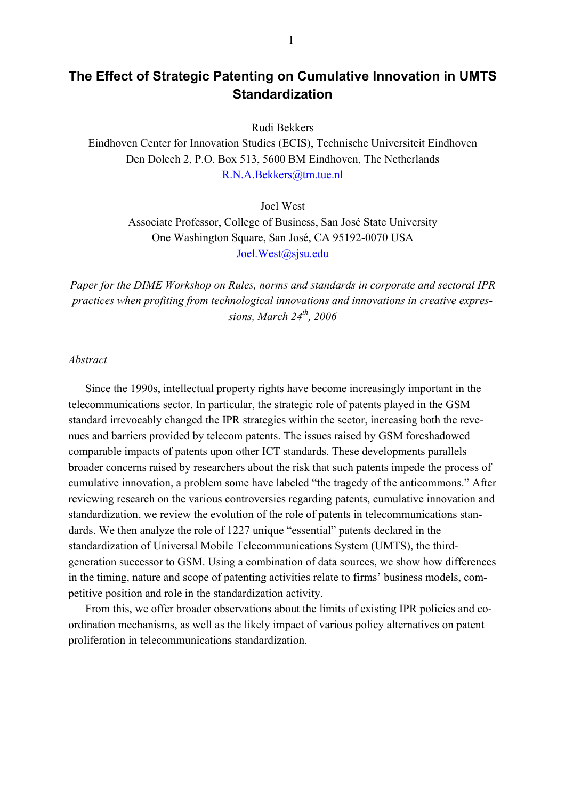## **The Effect of Strategic Patenting on Cumulative Innovation in UMTS Standardization**

Rudi Bekkers

Eindhoven Center for Innovation Studies (ECIS), Technische Universiteit Eindhoven Den Dolech 2, P.O. Box 513, 5600 BM Eindhoven, The Netherlands R.N.A.Bekkers@tm.tue.nl

> Joel West Associate Professor, College of Business, San José State University One Washington Square, San José, CA 95192-0070 USA Joel.West@sjsu.edu

*Paper for the DIME Workshop on Rules, norms and standards in corporate and sectoral IPR practices when profiting from technological innovations and innovations in creative expressions, March 24th, 2006* 

#### *Abstract*

Since the 1990s, intellectual property rights have become increasingly important in the telecommunications sector. In particular, the strategic role of patents played in the GSM standard irrevocably changed the IPR strategies within the sector, increasing both the revenues and barriers provided by telecom patents. The issues raised by GSM foreshadowed comparable impacts of patents upon other ICT standards. These developments parallels broader concerns raised by researchers about the risk that such patents impede the process of cumulative innovation, a problem some have labeled "the tragedy of the anticommons." After reviewing research on the various controversies regarding patents, cumulative innovation and standardization, we review the evolution of the role of patents in telecommunications standards. We then analyze the role of 1227 unique "essential" patents declared in the standardization of Universal Mobile Telecommunications System (UMTS), the thirdgeneration successor to GSM. Using a combination of data sources, we show how differences in the timing, nature and scope of patenting activities relate to firms' business models, competitive position and role in the standardization activity.

From this, we offer broader observations about the limits of existing IPR policies and coordination mechanisms, as well as the likely impact of various policy alternatives on patent proliferation in telecommunications standardization.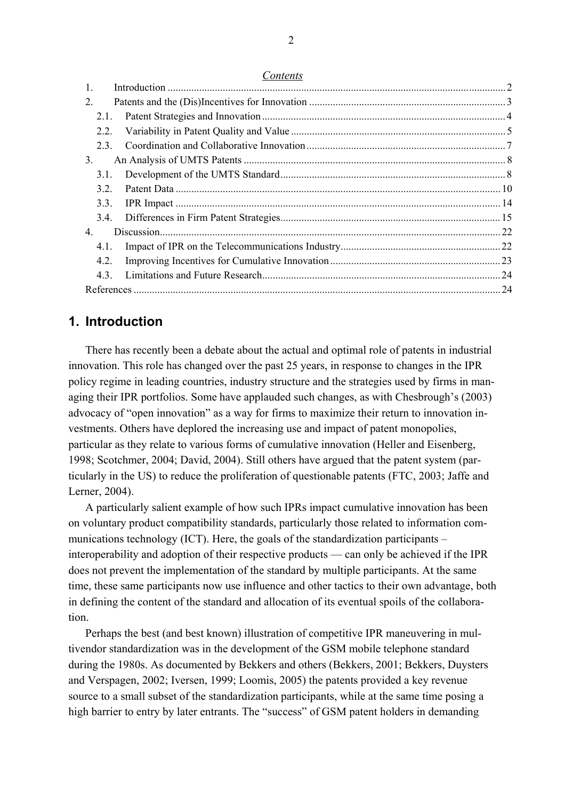*Contents*

| $\mathbf{1}$ . |  |
|----------------|--|
| 2.             |  |
| 2.1.           |  |
| 2.2.           |  |
| 23             |  |
| 3.             |  |
| 3.1.           |  |
| 3.2.           |  |
| 3.3.           |  |
| 3.4.           |  |
| 4.             |  |
| 4.1.           |  |
| 4.2.           |  |
| 43             |  |
|                |  |

## **1. Introduction**

There has recently been a debate about the actual and optimal role of patents in industrial innovation. This role has changed over the past 25 years, in response to changes in the IPR policy regime in leading countries, industry structure and the strategies used by firms in managing their IPR portfolios. Some have applauded such changes, as with Chesbrough's (2003) advocacy of "open innovation" as a way for firms to maximize their return to innovation investments. Others have deplored the increasing use and impact of patent monopolies, particular as they relate to various forms of cumulative innovation (Heller and Eisenberg, 1998; Scotchmer, 2004; David, 2004). Still others have argued that the patent system (particularly in the US) to reduce the proliferation of questionable patents (FTC, 2003; Jaffe and Lerner, 2004).

A particularly salient example of how such IPRs impact cumulative innovation has been on voluntary product compatibility standards, particularly those related to information communications technology (ICT). Here, the goals of the standardization participants – interoperability and adoption of their respective products — can only be achieved if the IPR does not prevent the implementation of the standard by multiple participants. At the same time, these same participants now use influence and other tactics to their own advantage, both in defining the content of the standard and allocation of its eventual spoils of the collaboration.

Perhaps the best (and best known) illustration of competitive IPR maneuvering in multivendor standardization was in the development of the GSM mobile telephone standard during the 1980s. As documented by Bekkers and others (Bekkers, 2001; Bekkers, Duysters and Verspagen, 2002; Iversen, 1999; Loomis, 2005) the patents provided a key revenue source to a small subset of the standardization participants, while at the same time posing a high barrier to entry by later entrants. The "success" of GSM patent holders in demanding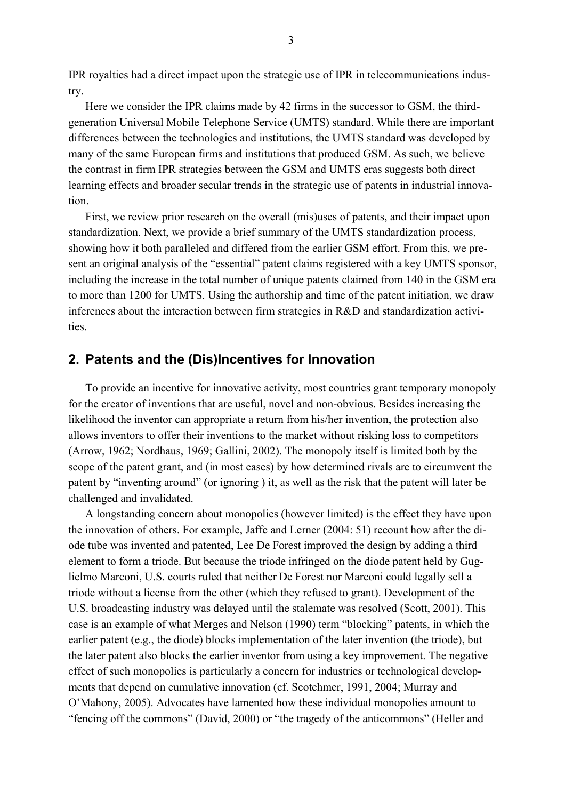IPR royalties had a direct impact upon the strategic use of IPR in telecommunications industry.

Here we consider the IPR claims made by 42 firms in the successor to GSM, the thirdgeneration Universal Mobile Telephone Service (UMTS) standard. While there are important differences between the technologies and institutions, the UMTS standard was developed by many of the same European firms and institutions that produced GSM. As such, we believe the contrast in firm IPR strategies between the GSM and UMTS eras suggests both direct learning effects and broader secular trends in the strategic use of patents in industrial innovation.

First, we review prior research on the overall (mis)uses of patents, and their impact upon standardization. Next, we provide a brief summary of the UMTS standardization process, showing how it both paralleled and differed from the earlier GSM effort. From this, we present an original analysis of the "essential" patent claims registered with a key UMTS sponsor, including the increase in the total number of unique patents claimed from 140 in the GSM era to more than 1200 for UMTS. Using the authorship and time of the patent initiation, we draw inferences about the interaction between firm strategies in R&D and standardization activities.

## **2. Patents and the (Dis)Incentives for Innovation**

To provide an incentive for innovative activity, most countries grant temporary monopoly for the creator of inventions that are useful, novel and non-obvious. Besides increasing the likelihood the inventor can appropriate a return from his/her invention, the protection also allows inventors to offer their inventions to the market without risking loss to competitors (Arrow, 1962; Nordhaus, 1969; Gallini, 2002). The monopoly itself is limited both by the scope of the patent grant, and (in most cases) by how determined rivals are to circumvent the patent by "inventing around" (or ignoring ) it, as well as the risk that the patent will later be challenged and invalidated.

A longstanding concern about monopolies (however limited) is the effect they have upon the innovation of others. For example, Jaffe and Lerner (2004: 51) recount how after the diode tube was invented and patented, Lee De Forest improved the design by adding a third element to form a triode. But because the triode infringed on the diode patent held by Guglielmo Marconi, U.S. courts ruled that neither De Forest nor Marconi could legally sell a triode without a license from the other (which they refused to grant). Development of the U.S. broadcasting industry was delayed until the stalemate was resolved (Scott, 2001). This case is an example of what Merges and Nelson (1990) term "blocking" patents, in which the earlier patent (e.g., the diode) blocks implementation of the later invention (the triode), but the later patent also blocks the earlier inventor from using a key improvement. The negative effect of such monopolies is particularly a concern for industries or technological developments that depend on cumulative innovation (cf. Scotchmer, 1991, 2004; Murray and O'Mahony, 2005). Advocates have lamented how these individual monopolies amount to "fencing off the commons" (David, 2000) or "the tragedy of the anticommons" (Heller and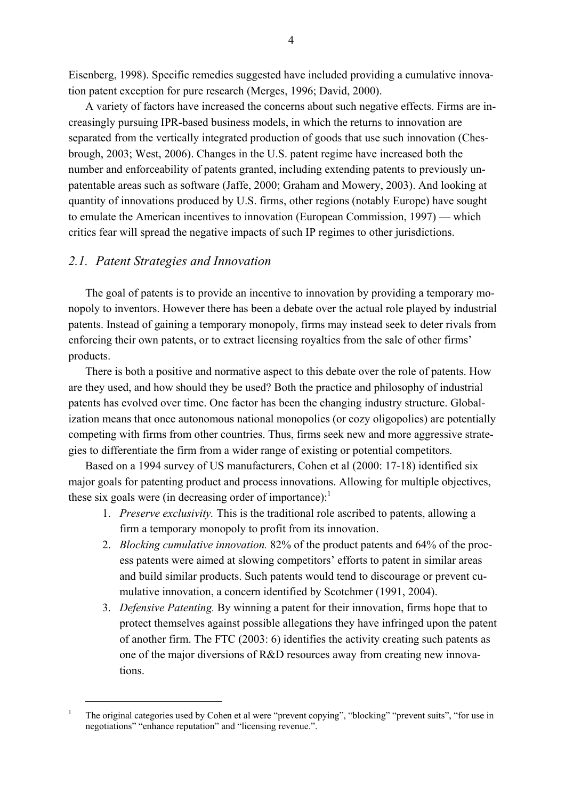Eisenberg, 1998). Specific remedies suggested have included providing a cumulative innovation patent exception for pure research (Merges, 1996; David, 2000).

A variety of factors have increased the concerns about such negative effects. Firms are increasingly pursuing IPR-based business models, in which the returns to innovation are separated from the vertically integrated production of goods that use such innovation (Chesbrough, 2003; West, 2006). Changes in the U.S. patent regime have increased both the number and enforceability of patents granted, including extending patents to previously unpatentable areas such as software (Jaffe, 2000; Graham and Mowery, 2003). And looking at quantity of innovations produced by U.S. firms, other regions (notably Europe) have sought to emulate the American incentives to innovation (European Commission, 1997) — which critics fear will spread the negative impacts of such IP regimes to other jurisdictions.

### *2.1. Patent Strategies and Innovation*

The goal of patents is to provide an incentive to innovation by providing a temporary monopoly to inventors. However there has been a debate over the actual role played by industrial patents. Instead of gaining a temporary monopoly, firms may instead seek to deter rivals from enforcing their own patents, or to extract licensing royalties from the sale of other firms' products.

There is both a positive and normative aspect to this debate over the role of patents. How are they used, and how should they be used? Both the practice and philosophy of industrial patents has evolved over time. One factor has been the changing industry structure. Globalization means that once autonomous national monopolies (or cozy oligopolies) are potentially competing with firms from other countries. Thus, firms seek new and more aggressive strategies to differentiate the firm from a wider range of existing or potential competitors.

Based on a 1994 survey of US manufacturers, Cohen et al (2000: 17-18) identified six major goals for patenting product and process innovations. Allowing for multiple objectives, these six goals were (in decreasing order of importance): $<sup>1</sup>$ </sup>

- 1. *Preserve exclusivity.* This is the traditional role ascribed to patents, allowing a firm a temporary monopoly to profit from its innovation.
- 2. *Blocking cumulative innovation.* 82% of the product patents and 64% of the process patents were aimed at slowing competitors' efforts to patent in similar areas and build similar products. Such patents would tend to discourage or prevent cumulative innovation, a concern identified by Scotchmer (1991, 2004).
- 3. *Defensive Patenting.* By winning a patent for their innovation, firms hope that to protect themselves against possible allegations they have infringed upon the patent of another firm. The FTC (2003: 6) identifies the activity creating such patents as one of the major diversions of R&D resources away from creating new innovations.

 $\frac{1}{1}$ <sup>1</sup> The original categories used by Cohen et al were "prevent copying", "blocking" "prevent suits", "for use in negotiations" "enhance reputation" and "licensing revenue.".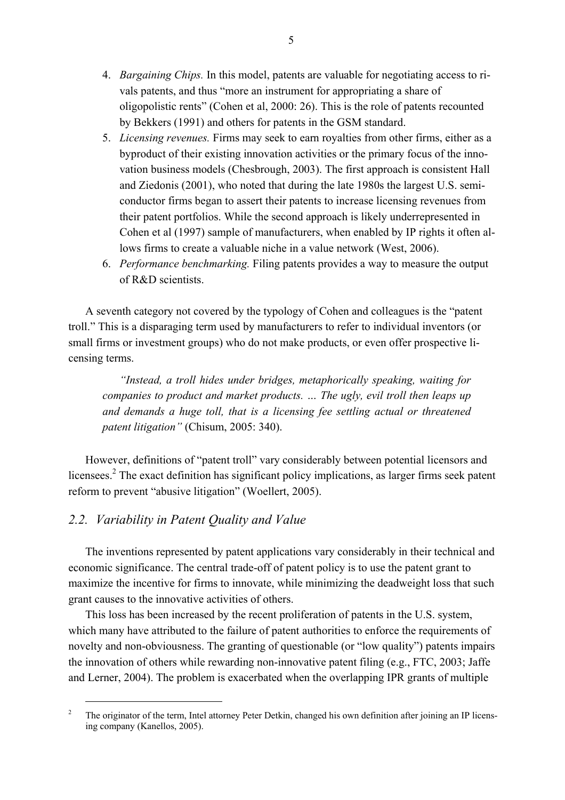- 4. *Bargaining Chips.* In this model, patents are valuable for negotiating access to rivals patents, and thus "more an instrument for appropriating a share of oligopolistic rents" (Cohen et al, 2000: 26). This is the role of patents recounted by Bekkers (1991) and others for patents in the GSM standard.
- 5. *Licensing revenues.* Firms may seek to earn royalties from other firms, either as a byproduct of their existing innovation activities or the primary focus of the innovation business models (Chesbrough, 2003). The first approach is consistent Hall and Ziedonis (2001), who noted that during the late 1980s the largest U.S. semiconductor firms began to assert their patents to increase licensing revenues from their patent portfolios. While the second approach is likely underrepresented in Cohen et al (1997) sample of manufacturers, when enabled by IP rights it often allows firms to create a valuable niche in a value network (West, 2006).
- 6. *Performance benchmarking.* Filing patents provides a way to measure the output of R&D scientists.

A seventh category not covered by the typology of Cohen and colleagues is the "patent troll." This is a disparaging term used by manufacturers to refer to individual inventors (or small firms or investment groups) who do not make products, or even offer prospective licensing terms.

*"Instead, a troll hides under bridges, metaphorically speaking, waiting for companies to product and market products. … The ugly, evil troll then leaps up and demands a huge toll, that is a licensing fee settling actual or threatened patent litigation"* (Chisum, 2005: 340).

However, definitions of "patent troll" vary considerably between potential licensors and licensees.<sup>2</sup> The exact definition has significant policy implications, as larger firms seek patent reform to prevent "abusive litigation" (Woellert, 2005).

## *2.2. Variability in Patent Quality and Value*

The inventions represented by patent applications vary considerably in their technical and economic significance. The central trade-off of patent policy is to use the patent grant to maximize the incentive for firms to innovate, while minimizing the deadweight loss that such grant causes to the innovative activities of others.

This loss has been increased by the recent proliferation of patents in the U.S. system, which many have attributed to the failure of patent authorities to enforce the requirements of novelty and non-obviousness. The granting of questionable (or "low quality") patents impairs the innovation of others while rewarding non-innovative patent filing (e.g., FTC, 2003; Jaffe and Lerner, 2004). The problem is exacerbated when the overlapping IPR grants of multiple

 $\begin{array}{c} \n\frac{1}{2} & \frac{1}{2} \\
\frac{1}{2} & \frac{1}{2} \\
\frac{1}{2} & \frac{1}{2} \\
\frac{1}{2} & \frac{1}{2} \\
\frac{1}{2} & \frac{1}{2} \\
\frac{1}{2} & \frac{1}{2} \\
\frac{1}{2} & \frac{1}{2} \\
\frac{1}{2} & \frac{1}{2} \\
\frac{1}{2} & \frac{1}{2} \\
\frac{1}{2} & \frac{1}{2} \\
\frac{1}{2} & \frac{1}{2} \\
\frac{1}{2} & \frac{1}{2} \\
\frac{1}{2} & \frac{1}{2} \\
\frac{$ <sup>2</sup> The originator of the term, Intel attorney Peter Detkin, changed his own definition after joining an IP licensing company (Kanellos, 2005).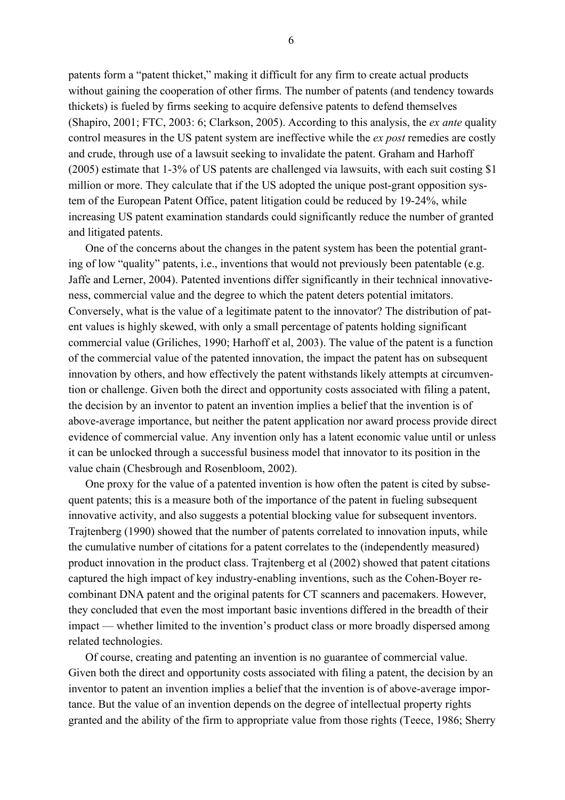patents form a "patent thicket," making it difficult for any firm to create actual products without gaining the cooperation of other firms. The number of patents (and tendency towards thickets) is fueled by firms seeking to acquire defensive patents to defend themselves (Shapiro, 2001; FTC, 2003: 6; Clarkson, 2005). According to this analysis, the *ex ante* quality control measures in the US patent system are ineffective while the *ex post* remedies are costly and crude, through use of a lawsuit seeking to invalidate the patent. Graham and Harhoff (2005) estimate that 1-3% of US patents are challenged via lawsuits, with each suit costing \$1 million or more. They calculate that if the US adopted the unique post-grant opposition system of the European Patent Office, patent litigation could be reduced by 19-24%, while increasing US patent examination standards could significantly reduce the number of granted and litigated patents.

One of the concerns about the changes in the patent system has been the potential granting of low "quality" patents, i.e., inventions that would not previously been patentable (e.g. Jaffe and Lerner, 2004). Patented inventions differ significantly in their technical innovativeness, commercial value and the degree to which the patent deters potential imitators. Conversely, what is the value of a legitimate patent to the innovator? The distribution of patent values is highly skewed, with only a small percentage of patents holding significant commercial value (Griliches, 1990; Harhoff et al, 2003). The value of the patent is a function of the commercial value of the patented innovation, the impact the patent has on subsequent innovation by others, and how effectively the patent withstands likely attempts at circumvention or challenge. Given both the direct and opportunity costs associated with filing a patent, the decision by an inventor to patent an invention implies a belief that the invention is of above-average importance, but neither the patent application nor award process provide direct evidence of commercial value. Any invention only has a latent economic value until or unless it can be unlocked through a successful business model that innovator to its position in the value chain (Chesbrough and Rosenbloom, 2002).

One proxy for the value of a patented invention is how often the patent is cited by subsequent patents; this is a measure both of the importance of the patent in fueling subsequent innovative activity, and also suggests a potential blocking value for subsequent inventors. Trajtenberg (1990) showed that the number of patents correlated to innovation inputs, while the cumulative number of citations for a patent correlates to the (independently measured) product innovation in the product class. Trajtenberg et al (2002) showed that patent citations captured the high impact of key industry-enabling inventions, such as the Cohen-Boyer recombinant DNA patent and the original patents for CT scanners and pacemakers. However, they concluded that even the most important basic inventions differed in the breadth of their impact — whether limited to the invention's product class or more broadly dispersed among related technologies.

Of course, creating and patenting an invention is no guarantee of commercial value. Given both the direct and opportunity costs associated with filing a patent, the decision by an inventor to patent an invention implies a belief that the invention is of above-average importance. But the value of an invention depends on the degree of intellectual property rights granted and the ability of the firm to appropriate value from those rights (Teece, 1986; Sherry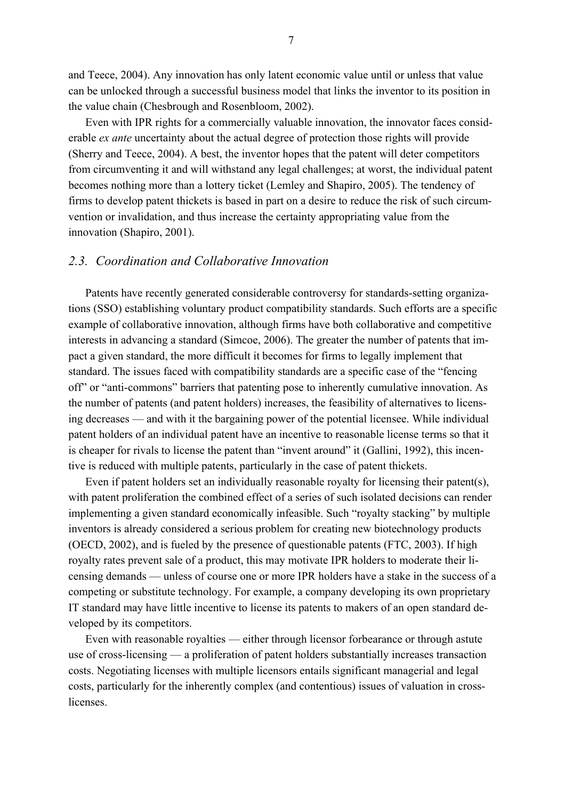and Teece, 2004). Any innovation has only latent economic value until or unless that value can be unlocked through a successful business model that links the inventor to its position in the value chain (Chesbrough and Rosenbloom, 2002).

Even with IPR rights for a commercially valuable innovation, the innovator faces considerable *ex ante* uncertainty about the actual degree of protection those rights will provide (Sherry and Teece, 2004). A best, the inventor hopes that the patent will deter competitors from circumventing it and will withstand any legal challenges; at worst, the individual patent becomes nothing more than a lottery ticket (Lemley and Shapiro, 2005). The tendency of firms to develop patent thickets is based in part on a desire to reduce the risk of such circumvention or invalidation, and thus increase the certainty appropriating value from the innovation (Shapiro, 2001).

## *2.3. Coordination and Collaborative Innovation*

Patents have recently generated considerable controversy for standards-setting organizations (SSO) establishing voluntary product compatibility standards. Such efforts are a specific example of collaborative innovation, although firms have both collaborative and competitive interests in advancing a standard (Simcoe, 2006). The greater the number of patents that impact a given standard, the more difficult it becomes for firms to legally implement that standard. The issues faced with compatibility standards are a specific case of the "fencing off" or "anti-commons" barriers that patenting pose to inherently cumulative innovation. As the number of patents (and patent holders) increases, the feasibility of alternatives to licensing decreases — and with it the bargaining power of the potential licensee. While individual patent holders of an individual patent have an incentive to reasonable license terms so that it is cheaper for rivals to license the patent than "invent around" it (Gallini, 1992), this incentive is reduced with multiple patents, particularly in the case of patent thickets.

Even if patent holders set an individually reasonable royalty for licensing their patent(s), with patent proliferation the combined effect of a series of such isolated decisions can render implementing a given standard economically infeasible. Such "royalty stacking" by multiple inventors is already considered a serious problem for creating new biotechnology products (OECD, 2002), and is fueled by the presence of questionable patents (FTC, 2003). If high royalty rates prevent sale of a product, this may motivate IPR holders to moderate their licensing demands — unless of course one or more IPR holders have a stake in the success of a competing or substitute technology. For example, a company developing its own proprietary IT standard may have little incentive to license its patents to makers of an open standard developed by its competitors.

Even with reasonable royalties — either through licensor forbearance or through astute use of cross-licensing — a proliferation of patent holders substantially increases transaction costs. Negotiating licenses with multiple licensors entails significant managerial and legal costs, particularly for the inherently complex (and contentious) issues of valuation in crosslicenses.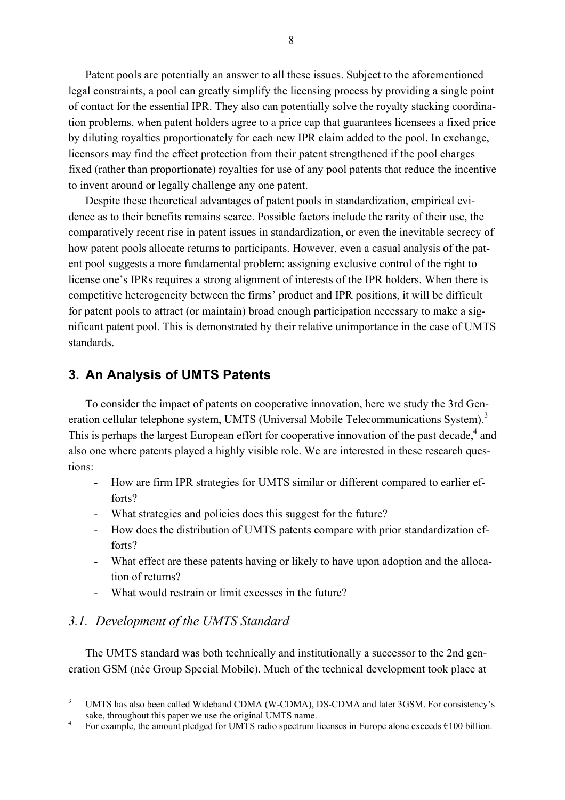Patent pools are potentially an answer to all these issues. Subject to the aforementioned legal constraints, a pool can greatly simplify the licensing process by providing a single point of contact for the essential IPR. They also can potentially solve the royalty stacking coordination problems, when patent holders agree to a price cap that guarantees licensees a fixed price by diluting royalties proportionately for each new IPR claim added to the pool. In exchange, licensors may find the effect protection from their patent strengthened if the pool charges fixed (rather than proportionate) royalties for use of any pool patents that reduce the incentive to invent around or legally challenge any one patent.

Despite these theoretical advantages of patent pools in standardization, empirical evidence as to their benefits remains scarce. Possible factors include the rarity of their use, the comparatively recent rise in patent issues in standardization, or even the inevitable secrecy of how patent pools allocate returns to participants. However, even a casual analysis of the patent pool suggests a more fundamental problem: assigning exclusive control of the right to license one's IPRs requires a strong alignment of interests of the IPR holders. When there is competitive heterogeneity between the firms' product and IPR positions, it will be difficult for patent pools to attract (or maintain) broad enough participation necessary to make a significant patent pool. This is demonstrated by their relative unimportance in the case of UMTS standards.

## **3. An Analysis of UMTS Patents**

To consider the impact of patents on cooperative innovation, here we study the 3rd Generation cellular telephone system, UMTS (Universal Mobile Telecommunications System).<sup>3</sup> This is perhaps the largest European effort for cooperative innovation of the past decade, $4$  and also one where patents played a highly visible role. We are interested in these research questions:

- How are firm IPR strategies for UMTS similar or different compared to earlier efforts?
- What strategies and policies does this suggest for the future?
- How does the distribution of UMTS patents compare with prior standardization efforts?
- What effect are these patents having or likely to have upon adoption and the allocation of returns?
- What would restrain or limit excesses in the future?

## *3.1. Development of the UMTS Standard*

The UMTS standard was both technically and institutionally a successor to the 2nd generation GSM (née Group Special Mobile). Much of the technical development took place at

 $\frac{1}{3}$ <sup>3</sup> UMTS has also been called Wideband CDMA (W-CDMA), DS-CDMA and later 3GSM. For consistency's sake, throughout this paper we use the original UMTS name.<br> $\frac{4}{100}$  For overvide the amount plodged for UMTS redio spectrum

For example, the amount pledged for UMTS radio spectrum licenses in Europe alone exceeds  $\epsilon$ 100 billion.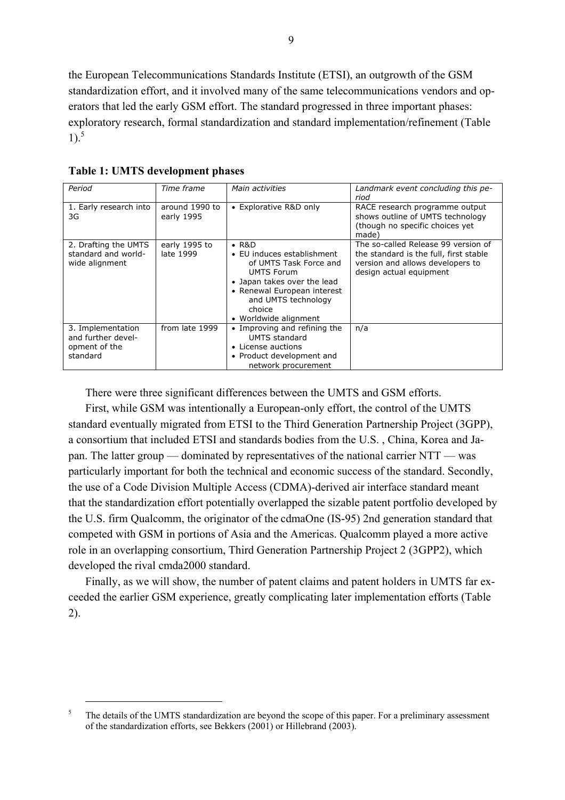the European Telecommunications Standards Institute (ETSI), an outgrowth of the GSM standardization effort, and it involved many of the same telecommunications vendors and operators that led the early GSM effort. The standard progressed in three important phases: exploratory research, formal standardization and standard implementation/refinement (Table  $1$ ).<sup>5</sup>

| <b>Table 1: UMTS development phases</b> |  |  |  |  |
|-----------------------------------------|--|--|--|--|
|-----------------------------------------|--|--|--|--|

| Period                                                               | Time frame                   | Main activities                                                                                                                                                                                                  | Landmark event concluding this pe-<br>riod                                                                                                   |
|----------------------------------------------------------------------|------------------------------|------------------------------------------------------------------------------------------------------------------------------------------------------------------------------------------------------------------|----------------------------------------------------------------------------------------------------------------------------------------------|
| 1. Early research into<br>3G                                         | around 1990 to<br>early 1995 | • Explorative R&D only                                                                                                                                                                                           | RACE research programme output<br>shows outline of UMTS technology<br>(though no specific choices yet)<br>made)                              |
| 2. Drafting the UMTS<br>standard and world-<br>wide alignment        | early 1995 to<br>late 1999   | $\cdot$ R&D<br>• EU induces establishment<br>of UMTS Task Force and<br><b>UMTS Forum</b><br>• Japan takes over the lead<br>• Renewal European interest<br>and UMTS technology<br>choice<br>• Worldwide alignment | The so-called Release 99 version of<br>the standard is the full, first stable<br>version and allows developers to<br>design actual equipment |
| 3. Implementation<br>and further devel-<br>opment of the<br>standard | from late 1999               | • Improving and refining the<br><b>UMTS</b> standard<br>• License auctions<br>• Product development and<br>network procurement                                                                                   | n/a                                                                                                                                          |

There were three significant differences between the UMTS and GSM efforts.

First, while GSM was intentionally a European-only effort, the control of the UMTS standard eventually migrated from ETSI to the Third Generation Partnership Project (3GPP), a consortium that included ETSI and standards bodies from the U.S. , China, Korea and Japan. The latter group — dominated by representatives of the national carrier NTT — was particularly important for both the technical and economic success of the standard. Secondly, the use of a Code Division Multiple Access (CDMA)-derived air interface standard meant that the standardization effort potentially overlapped the sizable patent portfolio developed by the U.S. firm Qualcomm, the originator of the cdmaOne (IS-95) 2nd generation standard that competed with GSM in portions of Asia and the Americas. Qualcomm played a more active role in an overlapping consortium, Third Generation Partnership Project 2 (3GPP2), which developed the rival cmda2000 standard.

Finally, as we will show, the number of patent claims and patent holders in UMTS far exceeded the earlier GSM experience, greatly complicating later implementation efforts (Table 2).

 $\frac{1}{5}$ <sup>5</sup> The details of the UMTS standardization are beyond the scope of this paper. For a preliminary assessment of the standardization efforts, see Bekkers (2001) or Hillebrand (2003).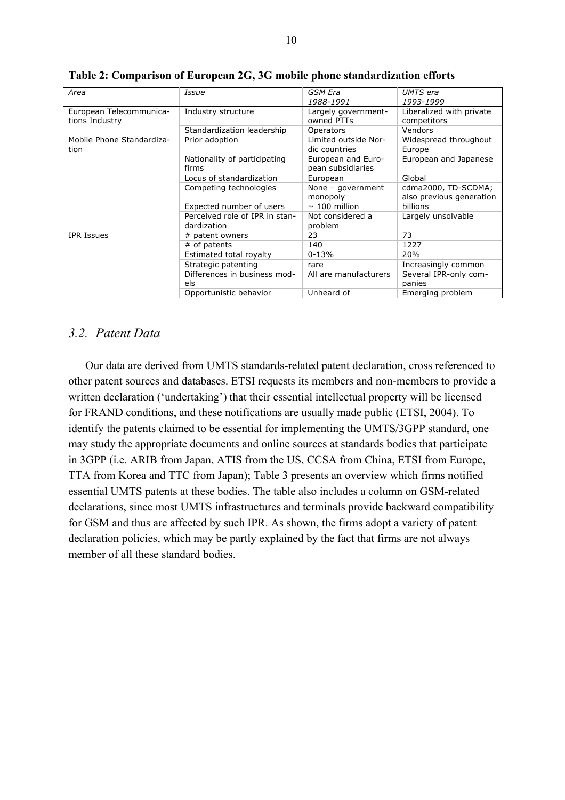| Area                      | Issue                          | GSM Era               | UMTS era                 |
|---------------------------|--------------------------------|-----------------------|--------------------------|
|                           |                                | 1988-1991             | 1993-1999                |
| European Telecommunica-   | Industry structure             | Largely government-   | Liberalized with private |
| tions Industry            |                                | owned PTTs            | competitors              |
|                           | Standardization leadership     | Operators             | Vendors                  |
| Mobile Phone Standardiza- | Prior adoption                 | Limited outside Nor-  | Widespread throughout    |
| tion                      |                                | dic countries         | Europe                   |
|                           | Nationality of participating   | European and Euro-    | European and Japanese    |
|                           | firms                          | pean subsidiaries     |                          |
|                           | Locus of standardization       | European              | Global                   |
|                           | Competing technologies         | None - government     | cdma2000, TD-SCDMA;      |
|                           |                                | monopoly              | also previous generation |
|                           | Expected number of users       | $\sim$ 100 million    | billions                 |
|                           | Perceived role of IPR in stan- | Not considered a      | Largely unsolvable       |
|                           | dardization                    | problem               |                          |
| <b>IPR Issues</b>         | # patent owners                | 23                    | 73                       |
|                           | # of patents                   | 140                   | 1227                     |
|                           | Estimated total royalty        | $0 - 13%$             | 20%                      |
|                           | Strategic patenting            | rare                  | Increasingly common      |
|                           | Differences in business mod-   | All are manufacturers | Several IPR-only com-    |
|                           | els                            |                       | panies                   |
|                           | Opportunistic behavior         | Unheard of            | Emerging problem         |

**Table 2: Comparison of European 2G, 3G mobile phone standardization efforts** 

## *3.2. Patent Data*

Our data are derived from UMTS standards-related patent declaration, cross referenced to other patent sources and databases. ETSI requests its members and non-members to provide a written declaration ('undertaking') that their essential intellectual property will be licensed for FRAND conditions, and these notifications are usually made public (ETSI, 2004). To identify the patents claimed to be essential for implementing the UMTS/3GPP standard, one may study the appropriate documents and online sources at standards bodies that participate in 3GPP (i.e. ARIB from Japan, ATIS from the US, CCSA from China, ETSI from Europe, TTA from Korea and TTC from Japan); Table 3 presents an overview which firms notified essential UMTS patents at these bodies. The table also includes a column on GSM-related declarations, since most UMTS infrastructures and terminals provide backward compatibility for GSM and thus are affected by such IPR. As shown, the firms adopt a variety of patent declaration policies, which may be partly explained by the fact that firms are not always member of all these standard bodies.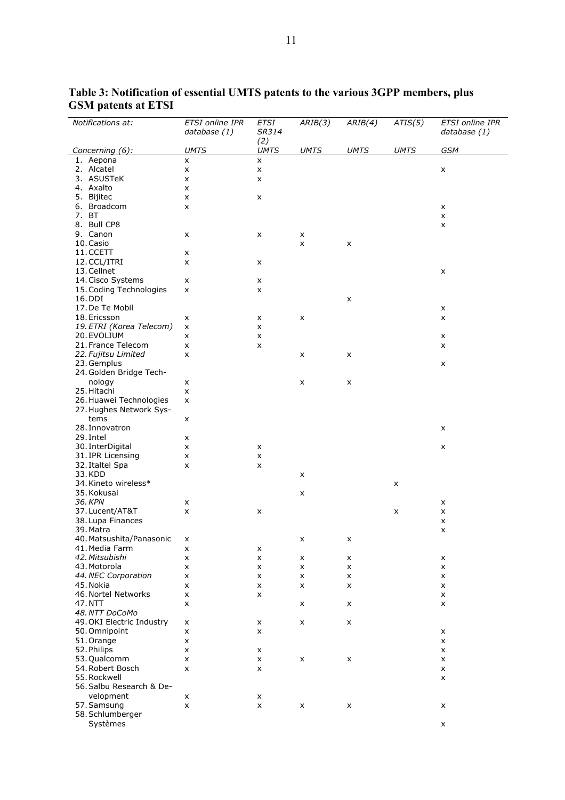| Notifications at:                            | <b>ETSI</b> online IPR<br>database (1) | <b>ETSI</b><br>SR314 | ARIB(3)     | ARIB(4)     | ATIS(5)     | <b>ETSI</b> online IPR<br>database (1) |
|----------------------------------------------|----------------------------------------|----------------------|-------------|-------------|-------------|----------------------------------------|
| Concerning (6):                              | <b>UMTS</b>                            | (2)<br><b>UMTS</b>   | <b>UMTS</b> | <b>UMTS</b> | <b>UMTS</b> | <b>GSM</b>                             |
| 1. Aepona                                    | x                                      | x                    |             |             |             |                                        |
| 2. Alcatel                                   | $\pmb{\times}$                         | $\pmb{\times}$       |             |             |             | $\pmb{\times}$                         |
| 3. ASUSTeK                                   | x                                      | x                    |             |             |             |                                        |
| 4. Axalto                                    | x                                      |                      |             |             |             |                                        |
| 5. Bijitec                                   | X                                      | x                    |             |             |             |                                        |
| 6. Broadcom                                  | X                                      |                      |             |             |             | X                                      |
| 7. BT                                        |                                        |                      |             |             |             | X                                      |
| 8. Bull CP8                                  |                                        |                      |             |             |             | x                                      |
| 9. Canon                                     | x                                      | X                    | x           |             |             |                                        |
| 10. Casio                                    |                                        |                      | x           | X           |             |                                        |
| 11. CCETT                                    | x                                      |                      |             |             |             |                                        |
| 12. CCL/ITRI                                 | x                                      | x                    |             |             |             |                                        |
| 13. Cellnet                                  |                                        |                      |             |             |             | $\pmb{\times}$                         |
| 14. Cisco Systems<br>15. Coding Technologies | x                                      | x                    |             |             |             |                                        |
| 16. DDI                                      | X                                      | x                    |             | X           |             |                                        |
| 17. De Te Mobil                              |                                        |                      |             |             |             | X                                      |
| 18. Ericsson                                 | x                                      | x                    | x           |             |             | x                                      |
| 19. ETRI (Korea Telecom)                     | X                                      | x                    |             |             |             |                                        |
| 20. EVOLIUM                                  | x                                      | x                    |             |             |             | X                                      |
| 21. France Telecom                           | X                                      | x                    |             |             |             | X                                      |
| 22. Fujitsu Limited                          | x                                      |                      | x           | X           |             |                                        |
| 23. Gemplus                                  |                                        |                      |             |             |             | $\pmb{\times}$                         |
| 24. Golden Bridge Tech-                      |                                        |                      |             |             |             |                                        |
| nology                                       | x                                      |                      | x           | X           |             |                                        |
| 25. Hitachi                                  | x                                      |                      |             |             |             |                                        |
| 26. Huawei Technologies                      | X                                      |                      |             |             |             |                                        |
| 27. Hughes Network Sys-                      |                                        |                      |             |             |             |                                        |
| tems                                         | x                                      |                      |             |             |             |                                        |
| 28. Innovatron                               |                                        |                      |             |             |             | X                                      |
| 29. Intel                                    | x                                      |                      |             |             |             |                                        |
| 30. InterDigital                             | x                                      | x                    |             |             |             | $\pmb{\times}$                         |
| 31. IPR Licensing                            | x                                      | $\pmb{\times}$       |             |             |             |                                        |
| 32. Italtel Spa                              | X                                      | X                    |             |             |             |                                        |
| 33. KDD<br>34. Kineto wireless*              |                                        |                      | x           |             |             |                                        |
| 35. Kokusai                                  |                                        |                      | x           |             | X           |                                        |
| 36. KPN                                      | x                                      |                      |             |             |             | x                                      |
| 37. Lucent/AT&T                              | X                                      | x                    |             |             | x           | x                                      |
| 38. Lupa Finances                            |                                        |                      |             |             |             | $\pmb{\times}$                         |
| 39. Matra                                    |                                        |                      |             |             |             | X                                      |
| 40. Matsushita/Panasonic                     | x                                      |                      | x           | x           |             |                                        |
| 41. Media Farm                               | $\pmb{\times}$                         | $\pmb{\mathsf{x}}$   |             |             |             |                                        |
| 42. Mitsubishi                               | x                                      | x                    | x           | X           |             | x                                      |
| 43. Motorola                                 | x                                      | X                    | x           | x           |             | x                                      |
| 44. NEC Corporation                          | x                                      | x                    | x           | X           |             | X                                      |
| 45. Nokia                                    | x                                      | x                    | x           | x           |             | x                                      |
| 46. Nortel Networks                          | X                                      | X                    |             |             |             | $\pmb{\times}$                         |
| 47.NTT                                       | x                                      |                      | x           | X           |             | x                                      |
| 48. NTT DoCoMo                               |                                        |                      |             |             |             |                                        |
| 49. OKI Electric Industry                    | x                                      | X                    | x           | X           |             |                                        |
| 50. Omnipoint                                | X                                      | x                    |             |             |             | X                                      |
| 51. Orange                                   | x                                      |                      |             |             |             | x                                      |
| 52. Philips                                  | X                                      | x                    |             |             |             | X                                      |
| 53. Qualcomm                                 | x                                      | x                    | x           | X           |             | x                                      |
| 54. Robert Bosch                             | X                                      | x                    |             |             |             | $\pmb{\times}$                         |
| 55. Rockwell                                 |                                        |                      |             |             |             | x                                      |
| 56. Salbu Research & De-                     |                                        |                      |             |             |             |                                        |
| velopment                                    | x                                      | x                    |             |             |             |                                        |
| 57. Samsung<br>58. Schlumberger              | X                                      | X                    | x           | X           |             | X                                      |
| Systèmes                                     |                                        |                      |             |             |             | X                                      |
|                                              |                                        |                      |             |             |             |                                        |

**Table 3: Notification of essential UMTS patents to the various 3GPP members, plus GSM patents at ETSI**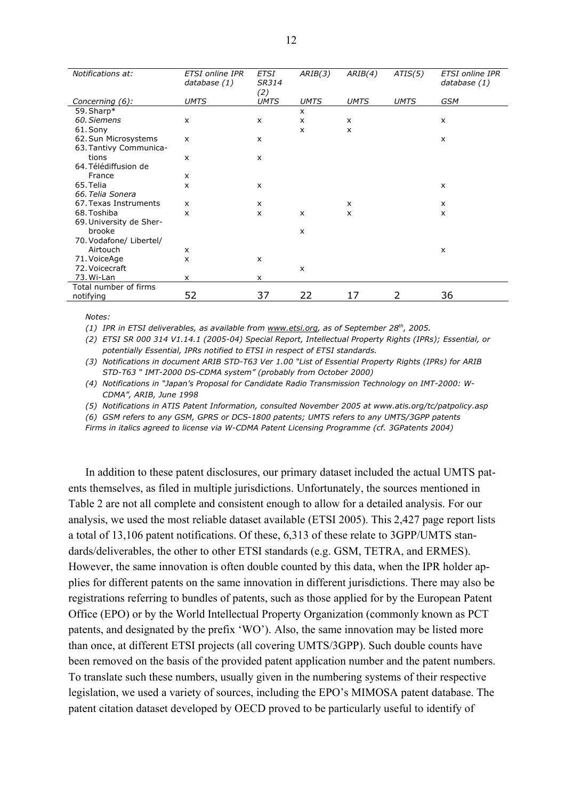| Notifications at:       | <b>ETSI</b> online IPR<br>database (1) | <b>ETSI</b><br>SR314<br>(2) | ARIB(3)      | ARIB(4)                   | ATIS(5)     | <b>ETSI</b> online IPR<br>database (1) |
|-------------------------|----------------------------------------|-----------------------------|--------------|---------------------------|-------------|----------------------------------------|
| Concerning (6):         | <b>UMTS</b>                            | <b>UMTS</b>                 | <b>UMTS</b>  | <b>UMTS</b>               | <b>UMTS</b> | <b>GSM</b>                             |
| 59. Sharp*              |                                        |                             | $\mathsf{x}$ |                           |             |                                        |
| 60. Siemens             | $\mathsf{x}$                           | X                           | $\mathsf{x}$ | $\boldsymbol{\mathsf{x}}$ |             | $\boldsymbol{\mathsf{x}}$              |
| 61. Sony                |                                        |                             | $\mathsf{x}$ | $\mathsf{x}$              |             |                                        |
| 62. Sun Microsystems    | X                                      | X                           |              |                           |             | $\mathsf{x}$                           |
| 63. Tantivy Communica-  |                                        |                             |              |                           |             |                                        |
| tions                   | X                                      | X                           |              |                           |             |                                        |
| 64. Télédiffusion de    |                                        |                             |              |                           |             |                                        |
| France                  | $\mathsf{x}$                           |                             |              |                           |             |                                        |
| 65. Telia               | X                                      | x                           |              |                           |             | $\boldsymbol{\mathsf{x}}$              |
| 66. Telia Sonera        |                                        |                             |              |                           |             |                                        |
| 67. Texas Instruments   | X                                      | X                           |              | $\mathsf{x}$              |             | $\mathsf{x}$                           |
| 68. Toshiba             | X                                      | X                           | $\mathsf{x}$ | X                         |             | X                                      |
| 69. University de Sher- |                                        |                             |              |                           |             |                                        |
| brooke                  |                                        |                             | X            |                           |             |                                        |
| 70. Vodafone/ Libertel/ |                                        |                             |              |                           |             |                                        |
| Airtouch                | X                                      |                             |              |                           |             | X                                      |
| 71. VoiceAge            | x                                      | X                           |              |                           |             |                                        |
| 72. Voicecraft          |                                        |                             | $\mathsf{x}$ |                           |             |                                        |
| 73. Wi-Lan              | x                                      | x                           |              |                           |             |                                        |
| Total number of firms   |                                        |                             |              |                           |             |                                        |
| notifying               | 52                                     | 37                          | 22           | 17                        | 2           | 36                                     |

*Notes:* 

*(1) IPR in ETSI deliverables, as available from www.etsi.org, as of September 28th, 2005.* 

*(2) ETSI SR 000 314 V1.14.1 (2005-04) Special Report, Intellectual Property Rights (IPRs); Essential, or potentially Essential, IPRs notified to ETSI in respect of ETSI standards.* 

*(3) Notifications in document ARIB STD-T63 Ver 1.00 "List of Essential Property Rights (IPRs) for ARIB STD-T63 " IMT-2000 DS-CDMA system" (probably from October 2000)* 

*(4) Notifications in "Japan's Proposal for Candidate Radio Transmission Technology on IMT-2000: W-CDMA", ARIB, June 1998* 

*(5) Notifications in ATIS Patent Information, consulted November 2005 at www.atis.org/tc/patpolicy.asp* 

*(6) GSM refers to any GSM, GPRS or DCS-1800 patents; UMTS refers to any UMTS/3GPP patents* 

*Firms in italics agreed to license via W-CDMA Patent Licensing Programme (cf. 3GPatents 2004)*

In addition to these patent disclosures, our primary dataset included the actual UMTS patents themselves, as filed in multiple jurisdictions. Unfortunately, the sources mentioned in Table 2 are not all complete and consistent enough to allow for a detailed analysis. For our analysis, we used the most reliable dataset available (ETSI 2005). This 2,427 page report lists a total of 13,106 patent notifications. Of these, 6,313 of these relate to 3GPP/UMTS standards/deliverables, the other to other ETSI standards (e.g. GSM, TETRA, and ERMES). However, the same innovation is often double counted by this data, when the IPR holder applies for different patents on the same innovation in different jurisdictions. There may also be registrations referring to bundles of patents, such as those applied for by the European Patent Office (EPO) or by the World Intellectual Property Organization (commonly known as PCT patents, and designated by the prefix 'WO'). Also, the same innovation may be listed more than once, at different ETSI projects (all covering UMTS/3GPP). Such double counts have been removed on the basis of the provided patent application number and the patent numbers. To translate such these numbers, usually given in the numbering systems of their respective legislation, we used a variety of sources, including the EPO's MIMOSA patent database. The patent citation dataset developed by OECD proved to be particularly useful to identify of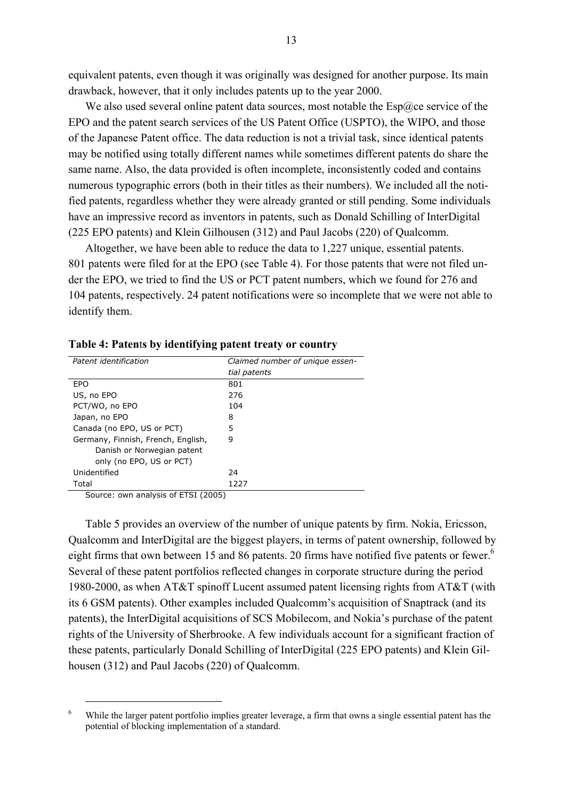equivalent patents, even though it was originally was designed for another purpose. Its main drawback, however, that it only includes patents up to the year 2000.

We also used several online patent data sources, most notable the  $\text{Esp}(Q)$ ce service of the EPO and the patent search services of the US Patent Office (USPTO), the WIPO, and those of the Japanese Patent office. The data reduction is not a trivial task, since identical patents may be notified using totally different names while sometimes different patents do share the same name. Also, the data provided is often incomplete, inconsistently coded and contains numerous typographic errors (both in their titles as their numbers). We included all the notified patents, regardless whether they were already granted or still pending. Some individuals have an impressive record as inventors in patents, such as Donald Schilling of InterDigital (225 EPO patents) and Klein Gilhousen (312) and Paul Jacobs (220) of Qualcomm.

Altogether, we have been able to reduce the data to 1,227 unique, essential patents. 801 patents were filed for at the EPO (see Table 4). For those patents that were not filed under the EPO, we tried to find the US or PCT patent numbers, which we found for 276 and 104 patents, respectively. 24 patent notifications were so incomplete that we were not able to identify them.

| Patent identification              | Claimed number of unique essen- |  |  |  |  |
|------------------------------------|---------------------------------|--|--|--|--|
|                                    | tial patents                    |  |  |  |  |
| EPO                                | 801                             |  |  |  |  |
| US, no EPO                         | 276                             |  |  |  |  |
| PCT/WO, no EPO                     | 104                             |  |  |  |  |
| Japan, no EPO                      | 8                               |  |  |  |  |
| Canada (no EPO, US or PCT)         | 5                               |  |  |  |  |
| Germany, Finnish, French, English, | 9                               |  |  |  |  |
| Danish or Norwegian patent         |                                 |  |  |  |  |
| only (no EPO, US or PCT)           |                                 |  |  |  |  |
| Unidentified                       | 24                              |  |  |  |  |
| Total                              | 1227                            |  |  |  |  |
| $        -$                        |                                 |  |  |  |  |

#### **Table 4: Paten**t**s by identifying patent treaty or country**

Source: own analysis of ETSI (2005)

Table 5 provides an overview of the number of unique patents by firm. Nokia, Ericsson, Qualcomm and InterDigital are the biggest players, in terms of patent ownership, followed by eight firms that own between 15 and 86 patents. 20 firms have notified five patents or fewer.<sup>6</sup> Several of these patent portfolios reflected changes in corporate structure during the period 1980-2000, as when AT&T spinoff Lucent assumed patent licensing rights from AT&T (with its 6 GSM patents). Other examples included Qualcomm's acquisition of Snaptrack (and its patents), the InterDigital acquisitions of SCS Mobilecom, and Nokia's purchase of the patent rights of the University of Sherbrooke. A few individuals account for a significant fraction of these patents, particularly Donald Schilling of InterDigital (225 EPO patents) and Klein Gilhousen (312) and Paul Jacobs (220) of Qualcomm.

 $\begin{bmatrix} 6 & 1 \end{bmatrix}$ <sup>6</sup> While the larger patent portfolio implies greater leverage, a firm that owns a single essential patent has the potential of blocking implementation of a standard.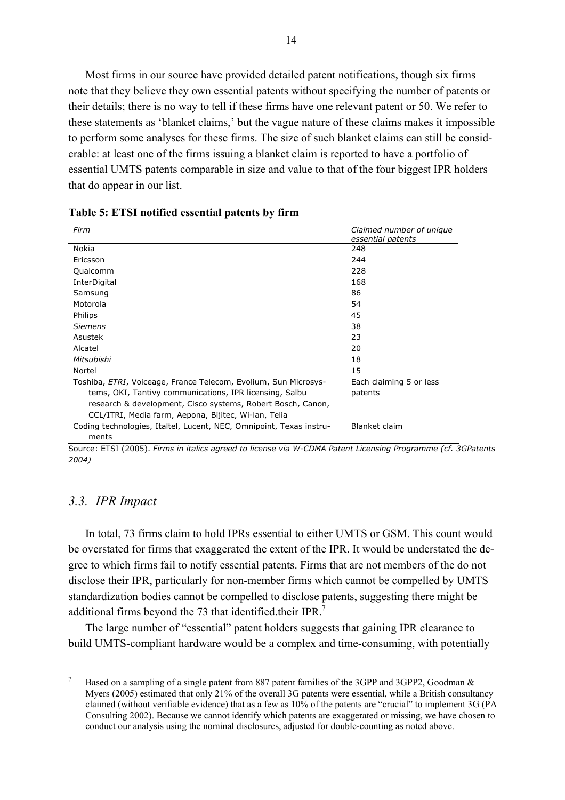Most firms in our source have provided detailed patent notifications, though six firms note that they believe they own essential patents without specifying the number of patents or their details; there is no way to tell if these firms have one relevant patent or 50. We refer to these statements as 'blanket claims,' but the vague nature of these claims makes it impossible to perform some analyses for these firms. The size of such blanket claims can still be considerable: at least one of the firms issuing a blanket claim is reported to have a portfolio of essential UMTS patents comparable in size and value to that of the four biggest IPR holders that do appear in our list.

| Firm                                                                | Claimed number of unique |
|---------------------------------------------------------------------|--------------------------|
|                                                                     | essential patents        |
| Nokia                                                               | 248                      |
| Ericsson                                                            | 244                      |
| Qualcomm                                                            | 228                      |
| InterDigital                                                        | 168                      |
| Samsung                                                             | 86                       |
| Motorola                                                            | 54                       |
| Philips                                                             | 45                       |
| <i>Siemens</i>                                                      | 38                       |
| Asustek                                                             | 23                       |
| Alcatel                                                             | 20                       |
| Mitsubishi                                                          | 18                       |
| Nortel                                                              | 15                       |
| Toshiba, ETRI, Voiceage, France Telecom, Evolium, Sun Microsys-     | Each claiming 5 or less  |
| tems, OKI, Tantivy communications, IPR licensing, Salbu             | patents                  |
| research & development, Cisco systems, Robert Bosch, Canon,         |                          |
| CCL/ITRI, Media farm, Aepona, Bijitec, Wi-lan, Telia                |                          |
| Coding technologies, Italtel, Lucent, NEC, Omnipoint, Texas instru- | Blanket claim            |
| ments                                                               |                          |

|  |  |  | Table 5: ETSI notified essential patents by firm |  |  |  |
|--|--|--|--------------------------------------------------|--|--|--|
|--|--|--|--------------------------------------------------|--|--|--|

Source: ETSI (2005). *Firms in italics agreed to license via W-CDMA Patent Licensing Programme (cf. 3GPatents 2004)*

#### *3.3. IPR Impact*

In total, 73 firms claim to hold IPRs essential to either UMTS or GSM. This count would be overstated for firms that exaggerated the extent of the IPR. It would be understated the degree to which firms fail to notify essential patents. Firms that are not members of the do not disclose their IPR, particularly for non-member firms which cannot be compelled by UMTS standardization bodies cannot be compelled to disclose patents, suggesting there might be additional firms beyond the 73 that identified their IPR.<sup>7</sup>

The large number of "essential" patent holders suggests that gaining IPR clearance to build UMTS-compliant hardware would be a complex and time-consuming, with potentially

 $\frac{1}{7}$  Based on a sampling of a single patent from 887 patent families of the 3GPP and 3GPP2, Goodman & Myers (2005) estimated that only 21% of the overall 3G patents were essential, while a British consultancy claimed (without verifiable evidence) that as a few as 10% of the patents are "crucial" to implement 3G (PA Consulting 2002). Because we cannot identify which patents are exaggerated or missing, we have chosen to conduct our analysis using the nominal disclosures, adjusted for double-counting as noted above.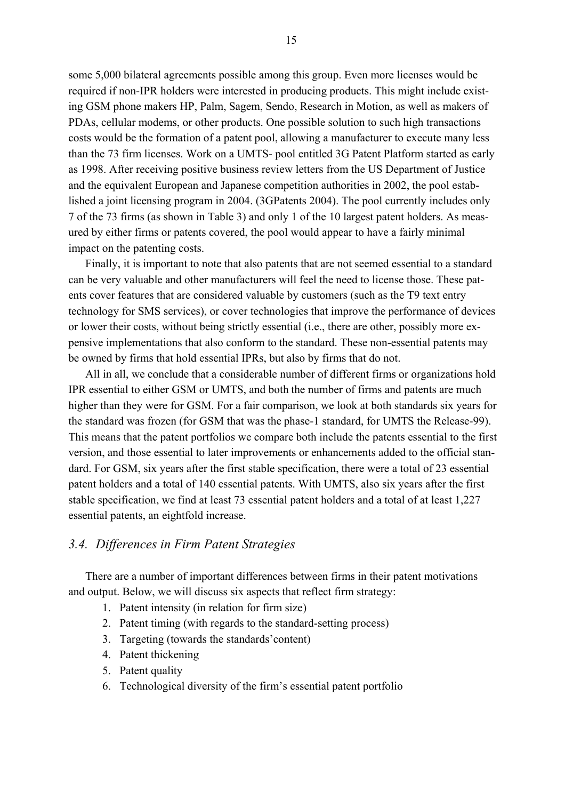some 5,000 bilateral agreements possible among this group. Even more licenses would be required if non-IPR holders were interested in producing products. This might include existing GSM phone makers HP, Palm, Sagem, Sendo, Research in Motion, as well as makers of PDAs, cellular modems, or other products. One possible solution to such high transactions costs would be the formation of a patent pool, allowing a manufacturer to execute many less than the 73 firm licenses. Work on a UMTS- pool entitled 3G Patent Platform started as early as 1998. After receiving positive business review letters from the US Department of Justice and the equivalent European and Japanese competition authorities in 2002, the pool established a joint licensing program in 2004. (3GPatents 2004). The pool currently includes only 7 of the 73 firms (as shown in Table 3) and only 1 of the 10 largest patent holders. As measured by either firms or patents covered, the pool would appear to have a fairly minimal impact on the patenting costs.

Finally, it is important to note that also patents that are not seemed essential to a standard can be very valuable and other manufacturers will feel the need to license those. These patents cover features that are considered valuable by customers (such as the T9 text entry technology for SMS services), or cover technologies that improve the performance of devices or lower their costs, without being strictly essential (i.e., there are other, possibly more expensive implementations that also conform to the standard. These non-essential patents may be owned by firms that hold essential IPRs, but also by firms that do not.

All in all, we conclude that a considerable number of different firms or organizations hold IPR essential to either GSM or UMTS, and both the number of firms and patents are much higher than they were for GSM. For a fair comparison, we look at both standards six years for the standard was frozen (for GSM that was the phase-1 standard, for UMTS the Release-99). This means that the patent portfolios we compare both include the patents essential to the first version, and those essential to later improvements or enhancements added to the official standard. For GSM, six years after the first stable specification, there were a total of 23 essential patent holders and a total of 140 essential patents. With UMTS, also six years after the first stable specification, we find at least 73 essential patent holders and a total of at least 1,227 essential patents, an eightfold increase.

## *3.4. Differences in Firm Patent Strategies*

There are a number of important differences between firms in their patent motivations and output. Below, we will discuss six aspects that reflect firm strategy:

- 1. Patent intensity (in relation for firm size)
- 2. Patent timing (with regards to the standard-setting process)
- 3. Targeting (towards the standards'content)
- 4. Patent thickening
- 5. Patent quality
- 6. Technological diversity of the firm's essential patent portfolio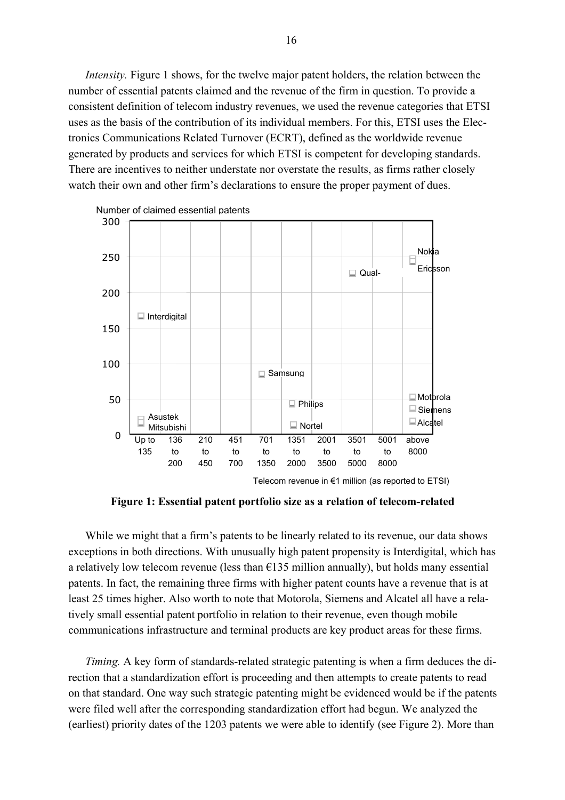*Intensity*. Figure 1 shows, for the twelve major patent holders, the relation between the number of essential patents claimed and the revenue of the firm in question. To provide a consistent definition of telecom industry revenues, we used the revenue categories that ETSI uses as the basis of the contribution of its individual members. For this, ETSI uses the Electronics Communications Related Turnover (ECRT), defined as the worldwide revenue generated by products and services for which ETSI is competent for developing standards. There are incentives to neither understate nor overstate the results, as firms rather closely watch their own and other firm's declarations to ensure the proper payment of dues.



**Figure 1: Essential patent portfolio size as a relation of telecom-related** 

While we might that a firm's patents to be linearly related to its revenue, our data shows exceptions in both directions. With unusually high patent propensity is Interdigital, which has a relatively low telecom revenue (less than  $\epsilon$ 135 million annually), but holds many essential patents. In fact, the remaining three firms with higher patent counts have a revenue that is at least 25 times higher. Also worth to note that Motorola, Siemens and Alcatel all have a relatively small essential patent portfolio in relation to their revenue, even though mobile communications infrastructure and terminal products are key product areas for these firms.

*Timing.* A key form of standards-related strategic patenting is when a firm deduces the direction that a standardization effort is proceeding and then attempts to create patents to read on that standard. One way such strategic patenting might be evidenced would be if the patents were filed well after the corresponding standardization effort had begun. We analyzed the (earliest) priority dates of the 1203 patents we were able to identify (see Figure 2). More than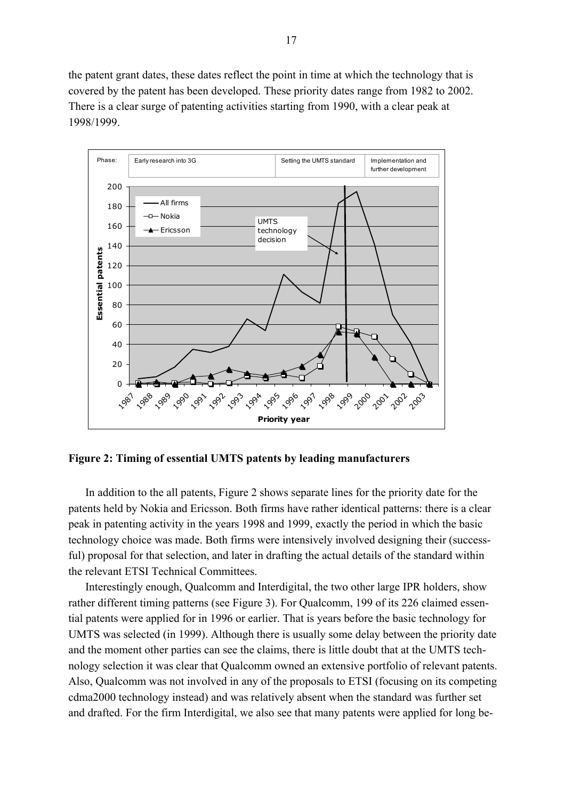the patent grant dates, these dates reflect the point in time at which the technology that is covered by the patent has been developed. These priority dates range from 1982 to 2002. There is a clear surge of patenting activities starting from 1990, with a clear peak at 1998/1999.



**Figure 2: Timing of essential UMTS patents by leading manufacturers** 

In addition to the all patents, Figure 2 shows separate lines for the priority date for the patents held by Nokia and Ericsson. Both firms have rather identical patterns: there is a clear peak in patenting activity in the years 1998 and 1999, exactly the period in which the basic technology choice was made. Both firms were intensively involved designing their (successful) proposal for that selection, and later in drafting the actual details of the standard within the relevant ETSI Technical Committees.

Interestingly enough, Qualcomm and Interdigital, the two other large IPR holders, show rather different timing patterns (see Figure 3). For Qualcomm, 199 of its 226 claimed essential patents were applied for in 1996 or earlier. That is years before the basic technology for UMTS was selected (in 1999). Although there is usually some delay between the priority date and the moment other parties can see the claims, there is little doubt that at the UMTS technology selection it was clear that Qualcomm owned an extensive portfolio of relevant patents. Also, Qualcomm was not involved in any of the proposals to ETSI (focusing on its competing cdma2000 technology instead) and was relatively absent when the standard was further set and drafted. For the firm Interdigital, we also see that many patents were applied for long be-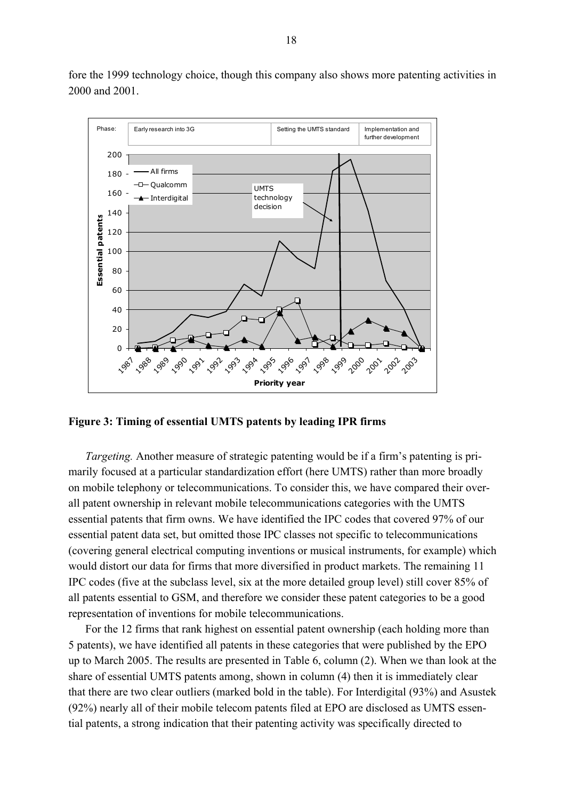

fore the 1999 technology choice, though this company also shows more patenting activities in 2000 and 2001.

**Figure 3: Timing of essential UMTS patents by leading IPR firms** 

*Targeting.* Another measure of strategic patenting would be if a firm's patenting is primarily focused at a particular standardization effort (here UMTS) rather than more broadly on mobile telephony or telecommunications. To consider this, we have compared their overall patent ownership in relevant mobile telecommunications categories with the UMTS essential patents that firm owns. We have identified the IPC codes that covered 97% of our essential patent data set, but omitted those IPC classes not specific to telecommunications (covering general electrical computing inventions or musical instruments, for example) which would distort our data for firms that more diversified in product markets. The remaining 11 IPC codes (five at the subclass level, six at the more detailed group level) still cover 85% of all patents essential to GSM, and therefore we consider these patent categories to be a good representation of inventions for mobile telecommunications.

For the 12 firms that rank highest on essential patent ownership (each holding more than 5 patents), we have identified all patents in these categories that were published by the EPO up to March 2005. The results are presented in Table 6, column (2). When we than look at the share of essential UMTS patents among, shown in column (4) then it is immediately clear that there are two clear outliers (marked bold in the table). For Interdigital (93%) and Asustek (92%) nearly all of their mobile telecom patents filed at EPO are disclosed as UMTS essential patents, a strong indication that their patenting activity was specifically directed to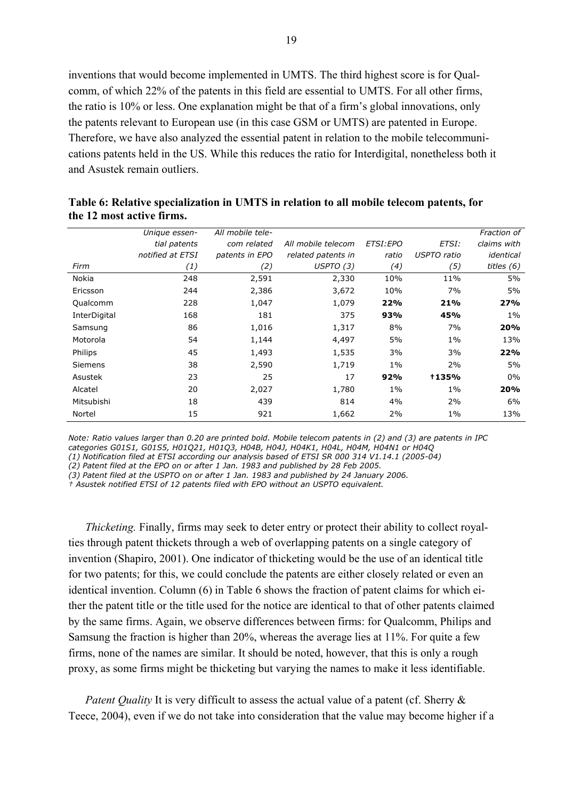inventions that would become implemented in UMTS. The third highest score is for Qualcomm, of which 22% of the patents in this field are essential to UMTS. For all other firms, the ratio is 10% or less. One explanation might be that of a firm's global innovations, only the patents relevant to European use (in this case GSM or UMTS) are patented in Europe. Therefore, we have also analyzed the essential patent in relation to the mobile telecommunications patents held in the US. While this reduces the ratio for Interdigital, nonetheless both it and Asustek remain outliers.

|                | Unique essen-    | All mobile tele- |                    |           |              | Fraction of  |
|----------------|------------------|------------------|--------------------|-----------|--------------|--------------|
|                | tial patents     | com related      | All mobile telecom | ETSI: EPO | ETSI:        | claims with  |
|                | notified at ETSI | patents in EPO   | related patents in | ratio     | USPTO ratio  | identical    |
| Firm           | (1)              | (2)              | USPTO(3)           | (4)       | (5)          | titles $(6)$ |
| Nokia          | 248              | 2,591            | 2,330              | 10%       | 11%          | 5%           |
| Ericsson       | 244              | 2,386            | 3,672              | 10%       | 7%           | 5%           |
| Qualcomm       | 228              | 1,047            | 1,079              | 22%       | 21%          | 27%          |
| InterDigital   | 168              | 181              | 375                | 93%       | 45%          | $1\%$        |
| Samsung        | 86               | 1,016            | 1,317              | 8%        | 7%           | 20%          |
| Motorola       | 54               | 1,144            | 4,497              | 5%        | $1\%$        | 13%          |
| Philips        | 45               | 1,493            | 1,535              | 3%        | 3%           | 22%          |
| <b>Siemens</b> | 38               | 2,590            | 1,719              | $1\%$     | 2%           | 5%           |
| Asustek        | 23               | 25               | 17                 | 92%       | <b>+135%</b> | $0\%$        |
| Alcatel        | 20               | 2,027            | 1,780              | $1\%$     | $1\%$        | 20%          |
| Mitsubishi     | 18               | 439              | 814                | 4%        | 2%           | 6%           |
| Nortel         | 15               | 921              | 1,662              | 2%        | $1\%$        | 13%          |

**Table 6: Relative specialization in UMTS in relation to all mobile telecom patents, for the 12 most active firms.** 

*Note: Ratio values larger than 0.20 are printed bold. Mobile telecom patents in (2) and (3) are patents in IPC categories G01S1, G01S5, H01Q21, H01Q3, H04B, H04J, H04K1, H04L, H04M, H04N1 or H04Q* 

*(1) Notification filed at ETSI according our analysis based of ETSI SR 000 314 V1.14.1 (2005-04)* 

*(2) Patent filed at the EPO on or after 1 Jan. 1983 and published by 28 Feb 2005.* 

*(3) Patent filed at the USPTO on or after 1 Jan. 1983 and published by 24 January 2006.* 

*† Asustek notified ETSI of 12 patents filed with EPO without an USPTO equivalent.* 

*Thicketing.* Finally, firms may seek to deter entry or protect their ability to collect royalties through patent thickets through a web of overlapping patents on a single category of invention (Shapiro, 2001). One indicator of thicketing would be the use of an identical title for two patents; for this, we could conclude the patents are either closely related or even an identical invention. Column (6) in Table 6 shows the fraction of patent claims for which either the patent title or the title used for the notice are identical to that of other patents claimed by the same firms. Again, we observe differences between firms: for Qualcomm, Philips and Samsung the fraction is higher than 20%, whereas the average lies at 11%. For quite a few firms, none of the names are similar. It should be noted, however, that this is only a rough proxy, as some firms might be thicketing but varying the names to make it less identifiable.

*Patent Quality* It is very difficult to assess the actual value of a patent (cf. Sherry & Teece, 2004), even if we do not take into consideration that the value may become higher if a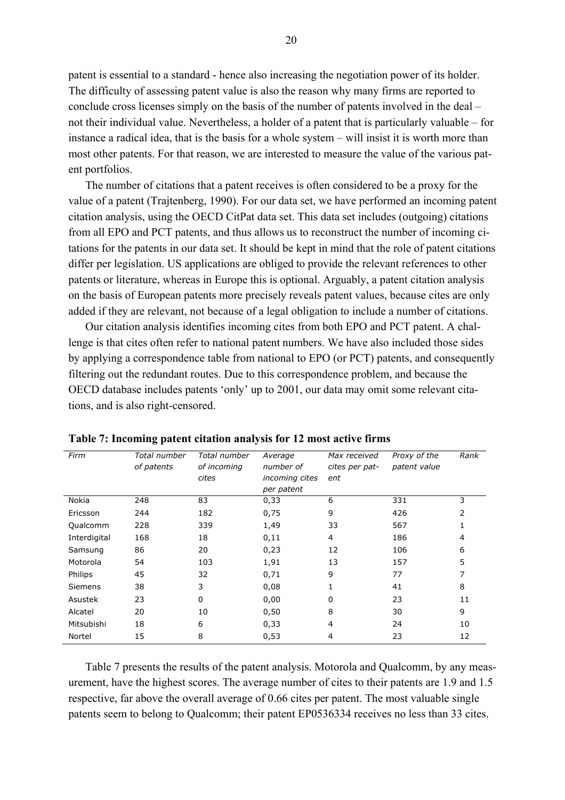patent is essential to a standard - hence also increasing the negotiation power of its holder. The difficulty of assessing patent value is also the reason why many firms are reported to conclude cross licenses simply on the basis of the number of patents involved in the deal – not their individual value. Nevertheless, a holder of a patent that is particularly valuable – for instance a radical idea, that is the basis for a whole system – will insist it is worth more than most other patents. For that reason, we are interested to measure the value of the various patent portfolios.

The number of citations that a patent receives is often considered to be a proxy for the value of a patent (Trajtenberg, 1990). For our data set, we have performed an incoming patent citation analysis, using the OECD CitPat data set. This data set includes (outgoing) citations from all EPO and PCT patents, and thus allows us to reconstruct the number of incoming citations for the patents in our data set. It should be kept in mind that the role of patent citations differ per legislation. US applications are obliged to provide the relevant references to other patents or literature, whereas in Europe this is optional. Arguably, a patent citation analysis on the basis of European patents more precisely reveals patent values, because cites are only added if they are relevant, not because of a legal obligation to include a number of citations.

Our citation analysis identifies incoming cites from both EPO and PCT patent. A challenge is that cites often refer to national patent numbers. We have also included those sides by applying a correspondence table from national to EPO (or PCT) patents, and consequently filtering out the redundant routes. Due to this correspondence problem, and because the OECD database includes patents 'only' up to 2001, our data may omit some relevant citations, and is also right-censored.

| Firm           | Total number | Total number | Average        | Max received   | Proxy of the | Rank           |
|----------------|--------------|--------------|----------------|----------------|--------------|----------------|
|                | of patents   | of incoming  | number of      | cites per pat- | patent value |                |
|                |              | cites        | incoming cites | ent            |              |                |
|                |              |              | per patent     |                |              |                |
| Nokia          | 248          | 83           | 0,33           | 6              | 331          | 3              |
| Ericsson       | 244          | 182          | 0,75           | 9              | 426          | 2              |
| Qualcomm       | 228          | 339          | 1,49           | 33             | 567          | 1              |
| Interdigital   | 168          | 18           | 0,11           | 4              | 186          | $\overline{4}$ |
| Samsung        | 86           | 20           | 0,23           | 12             | 106          | 6              |
| Motorola       | 54           | 103          | 1,91           | 13             | 157          | 5              |
| Philips        | 45           | 32           | 0,71           | 9              | 77           | 7              |
| <b>Siemens</b> | 38           | 3            | 0,08           | 1              | 41           | 8              |
| Asustek        | 23           | 0            | 0,00           | $\Omega$       | 23           | 11             |
| Alcatel        | 20           | 10           | 0,50           | 8              | 30           | 9              |
| Mitsubishi     | 18           | 6            | 0,33           | 4              | 24           | 10             |
| Nortel         | 15           | 8            | 0,53           | 4              | 23           | 12             |

|  |  |  |  |  | Table 7: Incoming patent citation analysis for 12 most active firms |  |
|--|--|--|--|--|---------------------------------------------------------------------|--|
|  |  |  |  |  |                                                                     |  |

Table 7 presents the results of the patent analysis. Motorola and Qualcomm, by any measurement, have the highest scores. The average number of cites to their patents are 1.9 and 1.5 respective, far above the overall average of 0.66 cites per patent. The most valuable single patents seem to belong to Qualcomm; their patent EP0536334 receives no less than 33 cites.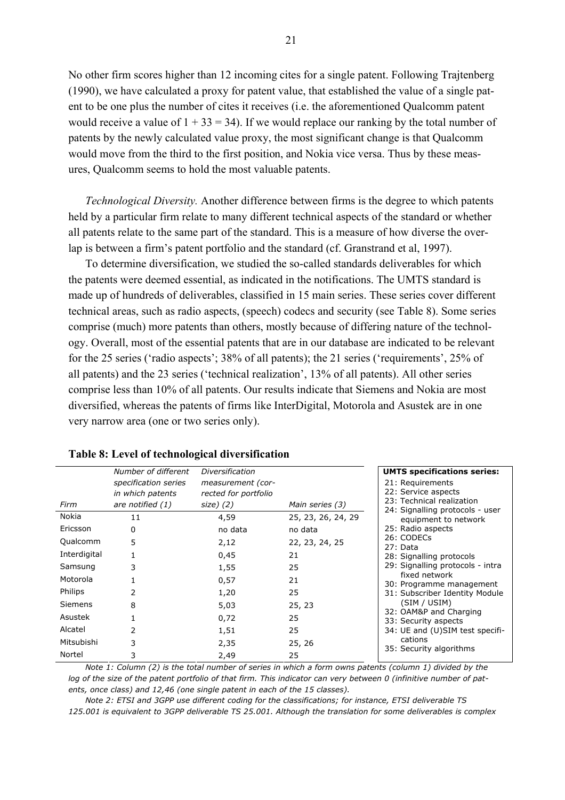No other firm scores higher than 12 incoming cites for a single patent. Following Trajtenberg (1990), we have calculated a proxy for patent value, that established the value of a single patent to be one plus the number of cites it receives (i.e. the aforementioned Qualcomm patent would receive a value of  $1 + 33 = 34$ ). If we would replace our ranking by the total number of patents by the newly calculated value proxy, the most significant change is that Qualcomm would move from the third to the first position, and Nokia vice versa. Thus by these measures, Qualcomm seems to hold the most valuable patents.

*Technological Diversity.* Another difference between firms is the degree to which patents held by a particular firm relate to many different technical aspects of the standard or whether all patents relate to the same part of the standard. This is a measure of how diverse the overlap is between a firm's patent portfolio and the standard (cf. Granstrand et al, 1997).

To determine diversification, we studied the so-called standards deliverables for which the patents were deemed essential, as indicated in the notifications. The UMTS standard is made up of hundreds of deliverables, classified in 15 main series. These series cover different technical areas, such as radio aspects, (speech) codecs and security (see Table 8). Some series comprise (much) more patents than others, mostly because of differing nature of the technology. Overall, most of the essential patents that are in our database are indicated to be relevant for the 25 series ('radio aspects'; 38% of all patents); the 21 series ('requirements', 25% of all patents) and the 23 series ('technical realization', 13% of all patents). All other series comprise less than 10% of all patents. Our results indicate that Siemens and Nokia are most diversified, whereas the patents of firms like InterDigital, Motorola and Asustek are in one very narrow area (one or two series only).

|                | Number of different<br>specification series<br>in which patents | Diversification<br>measurement (cor-<br>rected for portfolio |                    | <b>UMTS specifications series:</b><br>21: Requirements<br>22: Service aspects<br>23: Technical realization                                                                                                                                                                                                                                                                                       |
|----------------|-----------------------------------------------------------------|--------------------------------------------------------------|--------------------|--------------------------------------------------------------------------------------------------------------------------------------------------------------------------------------------------------------------------------------------------------------------------------------------------------------------------------------------------------------------------------------------------|
| Firm           | are notified (1)                                                | size) (2)                                                    | Main series (3)    | 24: Signalling protocols - user<br>equipment to network<br>25: Radio aspects<br>26: CODECs<br>27: Data<br>28: Signalling protocols<br>29: Signalling protocols - intra<br>fixed network<br>30: Programme management<br>31: Subscriber Identity Module<br>(SIM / USIM)<br>32: OAM&P and Charging<br>33: Security aspects<br>34: UE and (U)SIM test specifi-<br>cations<br>35: Security algorithms |
| Nokia          | 11                                                              | 4,59                                                         | 25, 23, 26, 24, 29 |                                                                                                                                                                                                                                                                                                                                                                                                  |
| Ericsson       | 0                                                               | no data                                                      | no data            |                                                                                                                                                                                                                                                                                                                                                                                                  |
| Qualcomm       | 5                                                               | 2,12                                                         | 22, 23, 24, 25     |                                                                                                                                                                                                                                                                                                                                                                                                  |
| Interdigital   |                                                                 | 0,45                                                         | 21                 |                                                                                                                                                                                                                                                                                                                                                                                                  |
| Samsung        | 3                                                               | 1,55                                                         | 25                 |                                                                                                                                                                                                                                                                                                                                                                                                  |
| Motorola       |                                                                 | 0,57                                                         | 21                 |                                                                                                                                                                                                                                                                                                                                                                                                  |
| <b>Philips</b> | 2                                                               | 1,20                                                         | 25                 |                                                                                                                                                                                                                                                                                                                                                                                                  |
| <b>Siemens</b> | 8                                                               | 5,03                                                         | 25, 23             |                                                                                                                                                                                                                                                                                                                                                                                                  |
| Asustek        |                                                                 | 0,72                                                         | 25                 |                                                                                                                                                                                                                                                                                                                                                                                                  |
| Alcatel        | 2                                                               | 1,51                                                         | 25                 |                                                                                                                                                                                                                                                                                                                                                                                                  |
| Mitsubishi     | 3                                                               | 2,35                                                         | 25, 26             |                                                                                                                                                                                                                                                                                                                                                                                                  |
| Nortel         | 3                                                               | 2,49                                                         | 25                 |                                                                                                                                                                                                                                                                                                                                                                                                  |

#### **Table 8: Level of technological diversification**

*Note 1: Column (2) is the total number of series in which a form owns patents (column 1) divided by the log of the size of the patent portfolio of that firm. This indicator can very between 0 (infinitive number of patents, once class) and 12,46 (one single patent in each of the 15 classes).* 

*Note 2: ETSI and 3GPP use different coding for the classifications; for instance, ETSI deliverable TS 125.001 is equivalent to 3GPP deliverable TS 25.001. Although the translation for some deliverables is complex*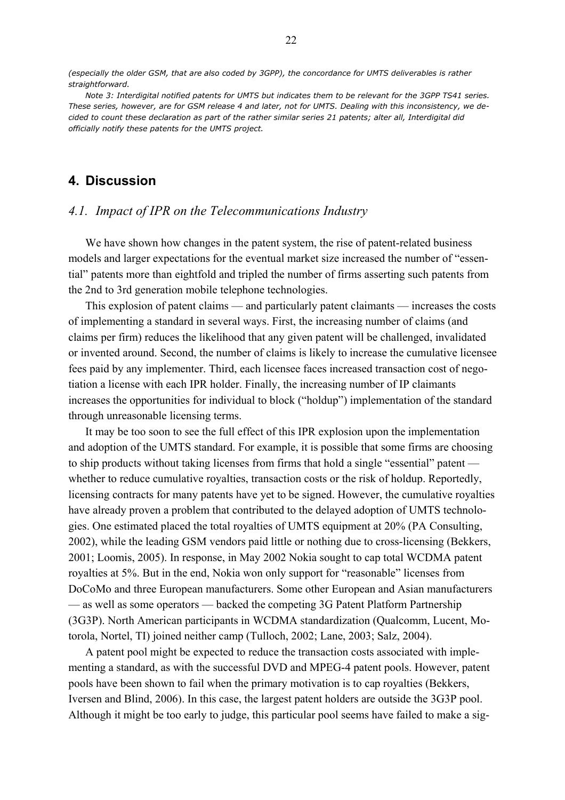*(especially the older GSM, that are also coded by 3GPP), the concordance for UMTS deliverables is rather straightforward.* 

*Note 3: Interdigital notified patents for UMTS but indicates them to be relevant for the 3GPP TS41 series. These series, however, are for GSM release 4 and later, not for UMTS. Dealing with this inconsistency, we decided to count these declaration as part of the rather similar series 21 patents; alter all, Interdigital did officially notify these patents for the UMTS project.* 

## **4. Discussion**

#### *4.1. Impact of IPR on the Telecommunications Industry*

We have shown how changes in the patent system, the rise of patent-related business models and larger expectations for the eventual market size increased the number of "essential" patents more than eightfold and tripled the number of firms asserting such patents from the 2nd to 3rd generation mobile telephone technologies.

This explosion of patent claims — and particularly patent claimants — increases the costs of implementing a standard in several ways. First, the increasing number of claims (and claims per firm) reduces the likelihood that any given patent will be challenged, invalidated or invented around. Second, the number of claims is likely to increase the cumulative licensee fees paid by any implementer. Third, each licensee faces increased transaction cost of negotiation a license with each IPR holder. Finally, the increasing number of IP claimants increases the opportunities for individual to block ("holdup") implementation of the standard through unreasonable licensing terms.

It may be too soon to see the full effect of this IPR explosion upon the implementation and adoption of the UMTS standard. For example, it is possible that some firms are choosing to ship products without taking licenses from firms that hold a single "essential" patent whether to reduce cumulative royalties, transaction costs or the risk of holdup. Reportedly, licensing contracts for many patents have yet to be signed. However, the cumulative royalties have already proven a problem that contributed to the delayed adoption of UMTS technologies. One estimated placed the total royalties of UMTS equipment at 20% (PA Consulting, 2002), while the leading GSM vendors paid little or nothing due to cross-licensing (Bekkers, 2001; Loomis, 2005). In response, in May 2002 Nokia sought to cap total WCDMA patent royalties at 5%. But in the end, Nokia won only support for "reasonable" licenses from DoCoMo and three European manufacturers. Some other European and Asian manufacturers — as well as some operators — backed the competing 3G Patent Platform Partnership (3G3P). North American participants in WCDMA standardization (Qualcomm, Lucent, Motorola, Nortel, TI) joined neither camp (Tulloch, 2002; Lane, 2003; Salz, 2004).

A patent pool might be expected to reduce the transaction costs associated with implementing a standard, as with the successful DVD and MPEG-4 patent pools. However, patent pools have been shown to fail when the primary motivation is to cap royalties (Bekkers, Iversen and Blind, 2006). In this case, the largest patent holders are outside the 3G3P pool. Although it might be too early to judge, this particular pool seems have failed to make a sig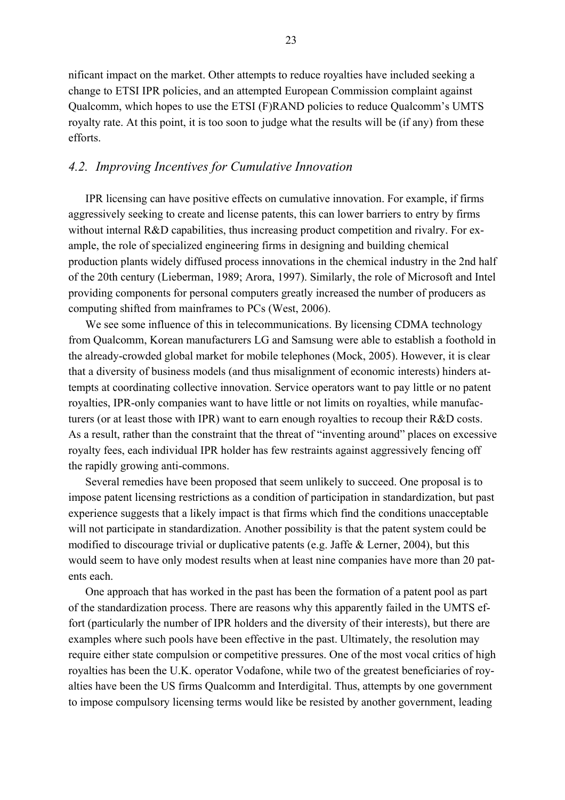nificant impact on the market. Other attempts to reduce royalties have included seeking a change to ETSI IPR policies, and an attempted European Commission complaint against Qualcomm, which hopes to use the ETSI (F)RAND policies to reduce Qualcomm's UMTS royalty rate. At this point, it is too soon to judge what the results will be (if any) from these efforts.

## *4.2. Improving Incentives for Cumulative Innovation*

IPR licensing can have positive effects on cumulative innovation. For example, if firms aggressively seeking to create and license patents, this can lower barriers to entry by firms without internal R&D capabilities, thus increasing product competition and rivalry. For example, the role of specialized engineering firms in designing and building chemical production plants widely diffused process innovations in the chemical industry in the 2nd half of the 20th century (Lieberman, 1989; Arora, 1997). Similarly, the role of Microsoft and Intel providing components for personal computers greatly increased the number of producers as computing shifted from mainframes to PCs (West, 2006).

We see some influence of this in telecommunications. By licensing CDMA technology from Qualcomm, Korean manufacturers LG and Samsung were able to establish a foothold in the already-crowded global market for mobile telephones (Mock, 2005). However, it is clear that a diversity of business models (and thus misalignment of economic interests) hinders attempts at coordinating collective innovation. Service operators want to pay little or no patent royalties, IPR-only companies want to have little or not limits on royalties, while manufacturers (or at least those with IPR) want to earn enough royalties to recoup their R&D costs. As a result, rather than the constraint that the threat of "inventing around" places on excessive royalty fees, each individual IPR holder has few restraints against aggressively fencing off the rapidly growing anti-commons.

Several remedies have been proposed that seem unlikely to succeed. One proposal is to impose patent licensing restrictions as a condition of participation in standardization, but past experience suggests that a likely impact is that firms which find the conditions unacceptable will not participate in standardization. Another possibility is that the patent system could be modified to discourage trivial or duplicative patents (e.g. Jaffe & Lerner, 2004), but this would seem to have only modest results when at least nine companies have more than 20 patents each.

One approach that has worked in the past has been the formation of a patent pool as part of the standardization process. There are reasons why this apparently failed in the UMTS effort (particularly the number of IPR holders and the diversity of their interests), but there are examples where such pools have been effective in the past. Ultimately, the resolution may require either state compulsion or competitive pressures. One of the most vocal critics of high royalties has been the U.K. operator Vodafone, while two of the greatest beneficiaries of royalties have been the US firms Qualcomm and Interdigital. Thus, attempts by one government to impose compulsory licensing terms would like be resisted by another government, leading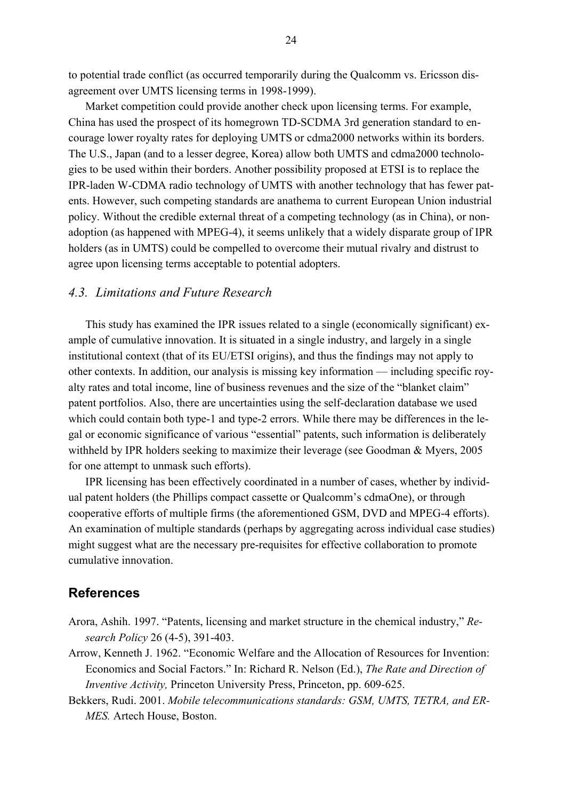to potential trade conflict (as occurred temporarily during the Qualcomm vs. Ericsson disagreement over UMTS licensing terms in 1998-1999).

Market competition could provide another check upon licensing terms. For example, China has used the prospect of its homegrown TD-SCDMA 3rd generation standard to encourage lower royalty rates for deploying UMTS or cdma2000 networks within its borders. The U.S., Japan (and to a lesser degree, Korea) allow both UMTS and cdma2000 technologies to be used within their borders. Another possibility proposed at ETSI is to replace the IPR-laden W-CDMA radio technology of UMTS with another technology that has fewer patents. However, such competing standards are anathema to current European Union industrial policy. Without the credible external threat of a competing technology (as in China), or nonadoption (as happened with MPEG-4), it seems unlikely that a widely disparate group of IPR holders (as in UMTS) could be compelled to overcome their mutual rivalry and distrust to agree upon licensing terms acceptable to potential adopters.

## *4.3. Limitations and Future Research*

This study has examined the IPR issues related to a single (economically significant) example of cumulative innovation. It is situated in a single industry, and largely in a single institutional context (that of its EU/ETSI origins), and thus the findings may not apply to other contexts. In addition, our analysis is missing key information — including specific royalty rates and total income, line of business revenues and the size of the "blanket claim" patent portfolios. Also, there are uncertainties using the self-declaration database we used which could contain both type-1 and type-2 errors. While there may be differences in the legal or economic significance of various "essential" patents, such information is deliberately withheld by IPR holders seeking to maximize their leverage (see Goodman & Myers, 2005 for one attempt to unmask such efforts).

IPR licensing has been effectively coordinated in a number of cases, whether by individual patent holders (the Phillips compact cassette or Qualcomm's cdmaOne), or through cooperative efforts of multiple firms (the aforementioned GSM, DVD and MPEG-4 efforts). An examination of multiple standards (perhaps by aggregating across individual case studies) might suggest what are the necessary pre-requisites for effective collaboration to promote cumulative innovation.

## **References**

- Arora, Ashih. 1997. "Patents, licensing and market structure in the chemical industry," *Research Policy* 26 (4-5), 391-403.
- Arrow, Kenneth J. 1962. "Economic Welfare and the Allocation of Resources for Invention: Economics and Social Factors." In: Richard R. Nelson (Ed.), *The Rate and Direction of Inventive Activity, Princeton University Press, Princeton, pp. 609-625.*
- Bekkers, Rudi. 2001. *Mobile telecommunications standards: GSM, UMTS, TETRA, and ER-MES.* Artech House, Boston.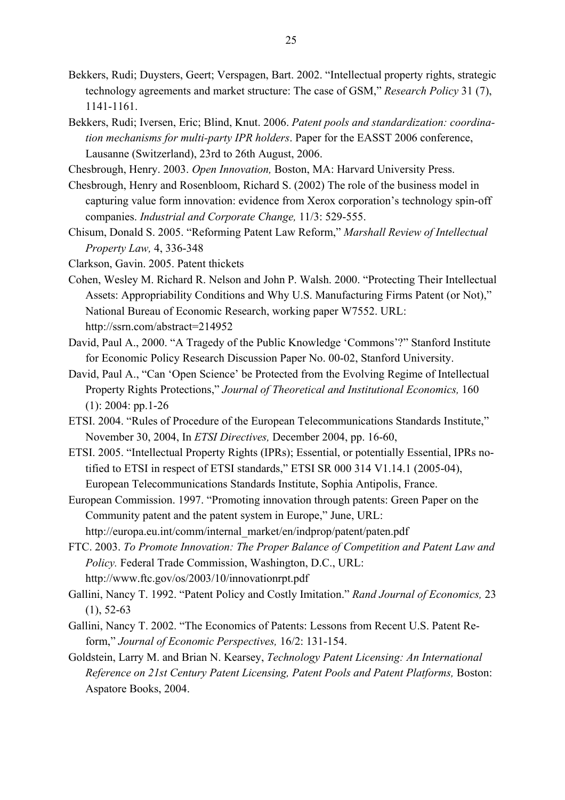- Bekkers, Rudi; Duysters, Geert; Verspagen, Bart. 2002. "Intellectual property rights, strategic technology agreements and market structure: The case of GSM," *Research Policy* 31 (7), 1141-1161.
- Bekkers, Rudi; Iversen, Eric; Blind, Knut. 2006. *Patent pools and standardization: coordination mechanisms for multi-party IPR holders*. Paper for the EASST 2006 conference, Lausanne (Switzerland), 23rd to 26th August, 2006.
- Chesbrough, Henry. 2003. *Open Innovation,* Boston, MA: Harvard University Press.
- Chesbrough, Henry and Rosenbloom, Richard S. (2002) The role of the business model in capturing value form innovation: evidence from Xerox corporation's technology spin-off companies. *Industrial and Corporate Change,* 11/3: 529-555.
- Chisum, Donald S. 2005. "Reforming Patent Law Reform," *Marshall Review of Intellectual Property Law,* 4, 336-348
- Clarkson, Gavin. 2005. Patent thickets
- Cohen, Wesley M. Richard R. Nelson and John P. Walsh. 2000. "Protecting Their Intellectual Assets: Appropriability Conditions and Why U.S. Manufacturing Firms Patent (or Not)," National Bureau of Economic Research, working paper W7552. URL: http://ssrn.com/abstract=214952
- David, Paul A., 2000. "A Tragedy of the Public Knowledge 'Commons'?" Stanford Institute for Economic Policy Research Discussion Paper No. 00-02, Stanford University.
- David, Paul A., "Can 'Open Science' be Protected from the Evolving Regime of Intellectual Property Rights Protections," *Journal of Theoretical and Institutional Economics,* 160  $(1)$ : 2004: pp.1-26
- ETSI. 2004. "Rules of Procedure of the European Telecommunications Standards Institute," November 30, 2004, In *ETSI Directives,* December 2004, pp. 16-60,
- ETSI. 2005. "Intellectual Property Rights (IPRs); Essential, or potentially Essential, IPRs notified to ETSI in respect of ETSI standards," ETSI SR 000 314 V1.14.1 (2005-04), European Telecommunications Standards Institute, Sophia Antipolis, France.
- European Commission. 1997. "Promoting innovation through patents: Green Paper on the Community patent and the patent system in Europe," June, URL: http://europa.eu.int/comm/internal\_market/en/indprop/patent/paten.pdf
- FTC. 2003. *To Promote Innovation: The Proper Balance of Competition and Patent Law and Policy.* Federal Trade Commission, Washington, D.C., URL: http://www.ftc.gov/os/2003/10/innovationrpt.pdf
- Gallini, Nancy T. 1992. "Patent Policy and Costly Imitation." *Rand Journal of Economics,* 23  $(1), 52-63$
- Gallini, Nancy T. 2002. "The Economics of Patents: Lessons from Recent U.S. Patent Reform," *Journal of Economic Perspectives,* 16/2: 131-154.
- Goldstein, Larry M. and Brian N. Kearsey, *Technology Patent Licensing: An International Reference on 21st Century Patent Licensing, Patent Pools and Patent Platforms,* Boston: Aspatore Books, 2004.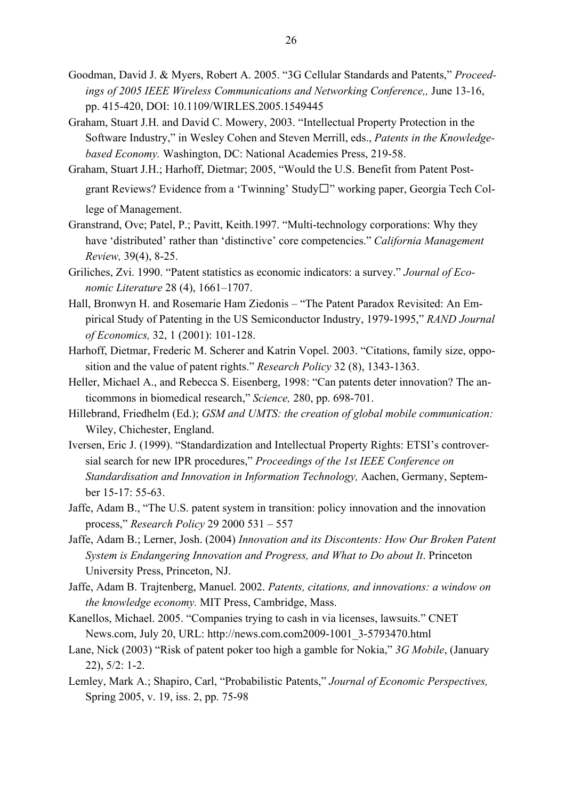- Goodman, David J. & Myers, Robert A. 2005. "3G Cellular Standards and Patents," *Proceedings of 2005 IEEE Wireless Communications and Networking Conference,,* June 13-16, pp. 415-420, DOI: 10.1109/WIRLES.2005.1549445
- Graham, Stuart J.H. and David C. Mowery, 2003. "Intellectual Property Protection in the Software Industry," in Wesley Cohen and Steven Merrill, eds., *Patents in the Knowledgebased Economy.* Washington, DC: National Academies Press, 219-58.
- Graham, Stuart J.H.; Harhoff, Dietmar; 2005, "Would the U.S. Benefit from Patent Postgrant Reviews? Evidence from a 'Twinning' Study" working paper, Georgia Tech College of Management.
- Granstrand, Ove; Patel, P.; Pavitt, Keith.1997. "Multi-technology corporations: Why they have 'distributed' rather than 'distinctive' core competencies." *California Management Review,* 39(4), 8-25.
- Griliches, Zvi. 1990. "Patent statistics as economic indicators: a survey." *Journal of Economic Literature* 28 (4), 1661–1707.
- Hall, Bronwyn H. and Rosemarie Ham Ziedonis "The Patent Paradox Revisited: An Empirical Study of Patenting in the US Semiconductor Industry, 1979-1995," *RAND Journal of Economics,* 32, 1 (2001): 101-128.
- Harhoff, Dietmar, Frederic M. Scherer and Katrin Vopel. 2003. "Citations, family size, opposition and the value of patent rights." *Research Policy* 32 (8), 1343-1363.
- Heller, Michael A., and Rebecca S. Eisenberg, 1998: "Can patents deter innovation? The anticommons in biomedical research," *Science,* 280, pp. 698-701.
- Hillebrand, Friedhelm (Ed.); *GSM and UMTS: the creation of global mobile communication:*  Wiley, Chichester, England.
- Iversen, Eric J. (1999). "Standardization and Intellectual Property Rights: ETSI's controversial search for new IPR procedures," *Proceedings of the 1st IEEE Conference on Standardisation and Innovation in Information Technology,* Aachen, Germany, September 15-17: 55-63.
- Jaffe, Adam B., "The U.S. patent system in transition: policy innovation and the innovation process," *Research Policy* 29 2000 531 – 557
- Jaffe, Adam B.; Lerner, Josh. (2004) *Innovation and its Discontents: How Our Broken Patent System is Endangering Innovation and Progress, and What to Do about It*. Princeton University Press, Princeton, NJ.
- Jaffe, Adam B. Trajtenberg, Manuel. 2002. *Patents, citations, and innovations: a window on the knowledge economy.* MIT Press, Cambridge, Mass.
- Kanellos, Michael. 2005. "Companies trying to cash in via licenses, lawsuits." CNET News.com, July 20, URL: http://news.com.com2009-1001\_3-5793470.html
- Lane, Nick (2003) "Risk of patent poker too high a gamble for Nokia," *3G Mobile*, (January 22), 5/2: 1-2.
- Lemley, Mark A.; Shapiro, Carl, "Probabilistic Patents," *Journal of Economic Perspectives,* Spring 2005, v. 19, iss. 2, pp. 75-98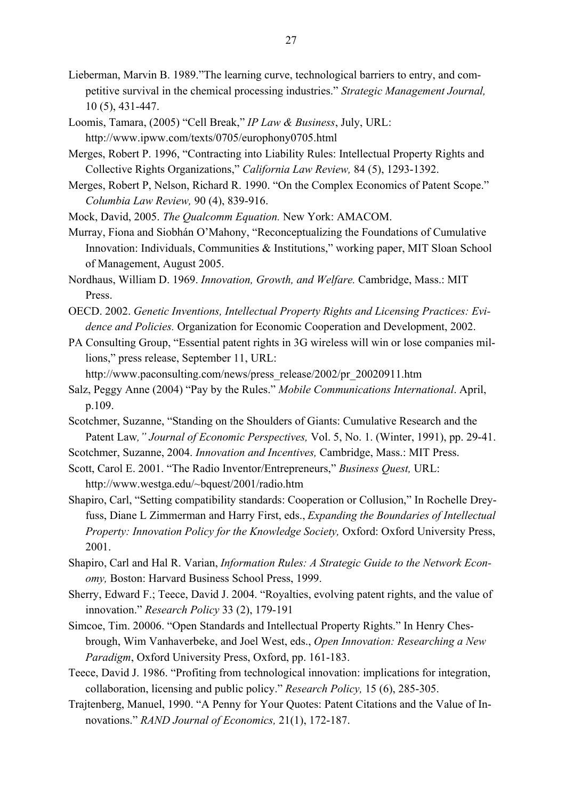- Lieberman, Marvin B. 1989."The learning curve, technological barriers to entry, and competitive survival in the chemical processing industries." *Strategic Management Journal,* 10 (5), 431-447.
- Loomis, Tamara, (2005) "Cell Break," *IP Law & Business*, July, URL: http://www.ipww.com/texts/0705/europhony0705.html
- Merges, Robert P. 1996, "Contracting into Liability Rules: Intellectual Property Rights and Collective Rights Organizations," *California Law Review,* 84 (5), 1293-1392.
- Merges, Robert P, Nelson, Richard R. 1990. "On the Complex Economics of Patent Scope." *Columbia Law Review,* 90 (4), 839-916.
- Mock, David, 2005. *The Qualcomm Equation.* New York: AMACOM.
- Murray, Fiona and Siobhán O'Mahony, "Reconceptualizing the Foundations of Cumulative Innovation: Individuals, Communities & Institutions," working paper, MIT Sloan School of Management, August 2005.
- Nordhaus, William D. 1969. *Innovation, Growth, and Welfare.* Cambridge, Mass.: MIT Press.
- OECD. 2002. *Genetic Inventions, Intellectual Property Rights and Licensing Practices: Evidence and Policies.* Organization for Economic Cooperation and Development, 2002.
- PA Consulting Group, "Essential patent rights in 3G wireless will win or lose companies millions," press release, September 11, URL:

http://www.paconsulting.com/news/press\_release/2002/pr\_20020911.htm

- Salz, Peggy Anne (2004) "Pay by the Rules." *Mobile Communications International*. April, p.109.
- Scotchmer, Suzanne, "Standing on the Shoulders of Giants: Cumulative Research and the Patent Law*," Journal of Economic Perspectives,* Vol. 5, No. 1. (Winter, 1991), pp. 29-41.
- Scotchmer, Suzanne, 2004. *Innovation and Incentives,* Cambridge, Mass.: MIT Press.
- Scott, Carol E. 2001. "The Radio Inventor/Entrepreneurs," *Business Quest,* URL: http://www.westga.edu/~bquest/2001/radio.htm
- Shapiro, Carl, "Setting compatibility standards: Cooperation or Collusion," In Rochelle Dreyfuss, Diane L Zimmerman and Harry First, eds., *Expanding the Boundaries of Intellectual Property: Innovation Policy for the Knowledge Society,* Oxford: Oxford University Press, 2001.
- Shapiro, Carl and Hal R. Varian, *Information Rules: A Strategic Guide to the Network Economy,* Boston: Harvard Business School Press, 1999.
- Sherry, Edward F.; Teece, David J. 2004. "Royalties, evolving patent rights, and the value of innovation." *Research Policy* 33 (2), 179-191
- Simcoe, Tim. 20006. "Open Standards and Intellectual Property Rights." In Henry Chesbrough, Wim Vanhaverbeke, and Joel West, eds., *Open Innovation: Researching a New Paradigm*, Oxford University Press, Oxford, pp. 161-183.
- Teece, David J. 1986. "Profiting from technological innovation: implications for integration, collaboration, licensing and public policy." *Research Policy,* 15 (6), 285-305.
- Trajtenberg, Manuel, 1990. "A Penny for Your Quotes: Patent Citations and the Value of Innovations." *RAND Journal of Economics,* 21(1), 172-187.